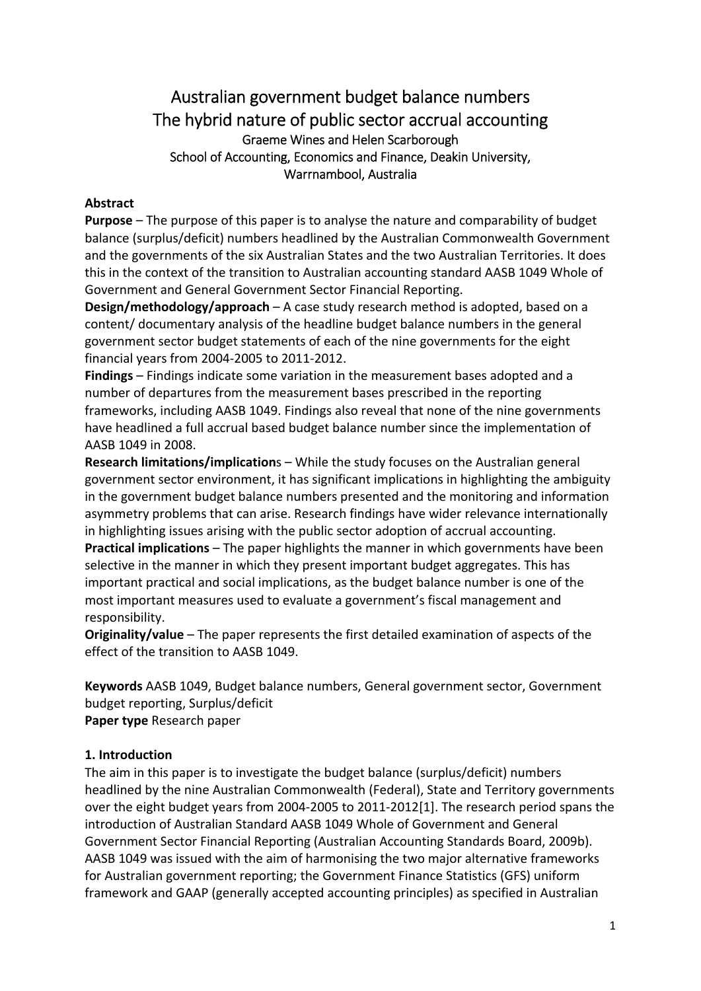## Australian government budget balance numbers The hybrid nature of public sector accrual accounting Graeme Wines and Helen Scarborough School of Accounting, Economics and Finance, Deakin University, Warrnambool, Australia

## **Abstract**

**Purpose** – The purpose of this paper is to analyse the nature and comparability of budget balance (surplus/deficit) numbers headlined by the Australian Commonwealth Government and the governments of the six Australian States and the two Australian Territories. It does this in the context of the transition to Australian accounting standard AASB 1049 Whole of Government and General Government Sector Financial Reporting.

**Design/methodology/approach** – A case study research method is adopted, based on a content/ documentary analysis of the headline budget balance numbers in the general government sector budget statements of each of the nine governments for the eight financial years from 2004‐2005 to 2011‐2012.

**Findings** – Findings indicate some variation in the measurement bases adopted and a number of departures from the measurement bases prescribed in the reporting frameworks, including AASB 1049. Findings also reveal that none of the nine governments have headlined a full accrual based budget balance number since the implementation of AASB 1049 in 2008.

**Research limitations/implication**s – While the study focuses on the Australian general government sector environment, it has significant implications in highlighting the ambiguity in the government budget balance numbers presented and the monitoring and information asymmetry problems that can arise. Research findings have wider relevance internationally in highlighting issues arising with the public sector adoption of accrual accounting.

**Practical implications** – The paper highlights the manner in which governments have been selective in the manner in which they present important budget aggregates. This has important practical and social implications, as the budget balance number is one of the most important measures used to evaluate a government's fiscal management and responsibility.

**Originality/value** – The paper represents the first detailed examination of aspects of the effect of the transition to AASB 1049.

**Keywords** AASB 1049, Budget balance numbers, General government sector, Government budget reporting, Surplus/deficit **Paper type** Research paper

### **1. Introduction**

The aim in this paper is to investigate the budget balance (surplus/deficit) numbers headlined by the nine Australian Commonwealth (Federal), State and Territory governments over the eight budget years from 2004‐2005 to 2011‐2012[1]. The research period spans the introduction of Australian Standard AASB 1049 Whole of Government and General Government Sector Financial Reporting (Australian Accounting Standards Board, 2009b). AASB 1049 was issued with the aim of harmonising the two major alternative frameworks for Australian government reporting; the Government Finance Statistics (GFS) uniform framework and GAAP (generally accepted accounting principles) as specified in Australian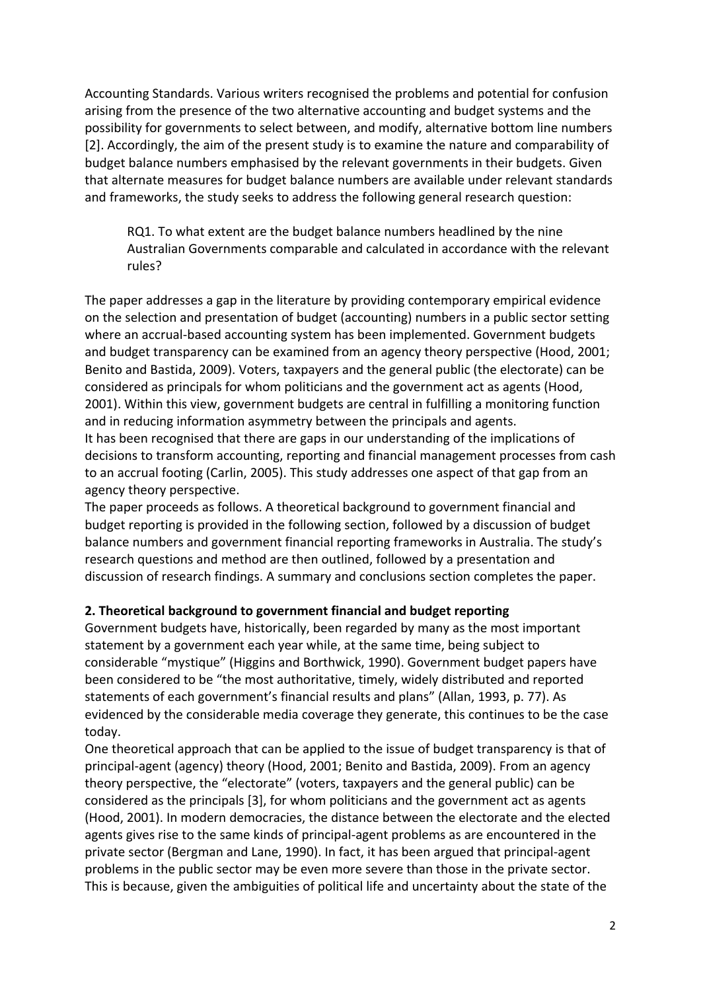Accounting Standards. Various writers recognised the problems and potential for confusion arising from the presence of the two alternative accounting and budget systems and the possibility for governments to select between, and modify, alternative bottom line numbers [2]. Accordingly, the aim of the present study is to examine the nature and comparability of budget balance numbers emphasised by the relevant governments in their budgets. Given that alternate measures for budget balance numbers are available under relevant standards and frameworks, the study seeks to address the following general research question:

RQ1. To what extent are the budget balance numbers headlined by the nine Australian Governments comparable and calculated in accordance with the relevant rules?

The paper addresses a gap in the literature by providing contemporary empirical evidence on the selection and presentation of budget (accounting) numbers in a public sector setting where an accrual-based accounting system has been implemented. Government budgets and budget transparency can be examined from an agency theory perspective (Hood, 2001; Benito and Bastida, 2009). Voters, taxpayers and the general public (the electorate) can be considered as principals for whom politicians and the government act as agents (Hood, 2001). Within this view, government budgets are central in fulfilling a monitoring function and in reducing information asymmetry between the principals and agents.

It has been recognised that there are gaps in our understanding of the implications of decisions to transform accounting, reporting and financial management processes from cash to an accrual footing (Carlin, 2005). This study addresses one aspect of that gap from an agency theory perspective.

The paper proceeds as follows. A theoretical background to government financial and budget reporting is provided in the following section, followed by a discussion of budget balance numbers and government financial reporting frameworks in Australia. The study's research questions and method are then outlined, followed by a presentation and discussion of research findings. A summary and conclusions section completes the paper.

### **2. Theoretical background to government financial and budget reporting**

Government budgets have, historically, been regarded by many as the most important statement by a government each year while, at the same time, being subject to considerable "mystique" (Higgins and Borthwick, 1990). Government budget papers have been considered to be "the most authoritative, timely, widely distributed and reported statements of each government's financial results and plans" (Allan, 1993, p. 77). As evidenced by the considerable media coverage they generate, this continues to be the case today.

One theoretical approach that can be applied to the issue of budget transparency is that of principal‐agent (agency) theory (Hood, 2001; Benito and Bastida, 2009). From an agency theory perspective, the "electorate" (voters, taxpayers and the general public) can be considered as the principals [3], for whom politicians and the government act as agents (Hood, 2001). In modern democracies, the distance between the electorate and the elected agents gives rise to the same kinds of principal‐agent problems as are encountered in the private sector (Bergman and Lane, 1990). In fact, it has been argued that principal‐agent problems in the public sector may be even more severe than those in the private sector. This is because, given the ambiguities of political life and uncertainty about the state of the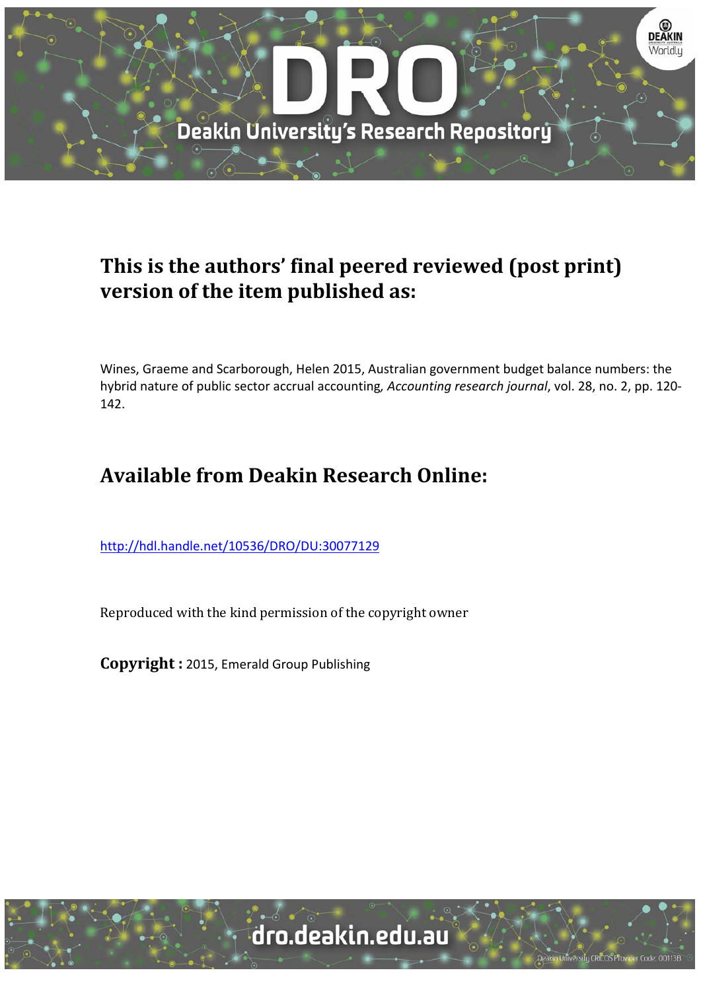

## **This is the authors' final peered reviewed (post print) version of the item published as:**

Wines, Graeme and Scarborough, Helen 2015, Australian government budget balance numbers: the hybrid nature of public sector accrual accounting*, Accounting research journal*, vol. 28, no. 2, pp. 120‐ 142.

# **Available from Deakin Research Online:**

http://hdl.handle.net/10536/DRO/DU:30077129

Reproduced with the kind permission of the copyright owner

**Copyright :** 2015, Emerald Group Publishing

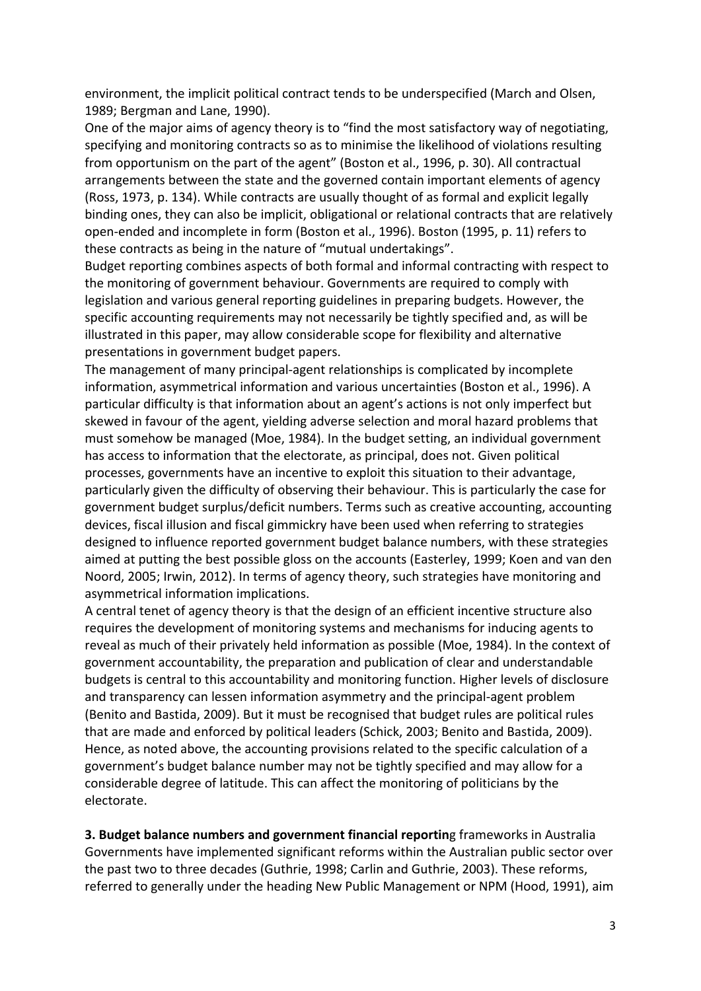environment, the implicit political contract tends to be underspecified (March and Olsen, 1989; Bergman and Lane, 1990).

One of the major aims of agency theory is to "find the most satisfactory way of negotiating, specifying and monitoring contracts so as to minimise the likelihood of violations resulting from opportunism on the part of the agent" (Boston et al., 1996, p. 30). All contractual arrangements between the state and the governed contain important elements of agency (Ross, 1973, p. 134). While contracts are usually thought of as formal and explicit legally binding ones, they can also be implicit, obligational or relational contracts that are relatively open‐ended and incomplete in form (Boston et al., 1996). Boston (1995, p. 11) refers to these contracts as being in the nature of "mutual undertakings".

Budget reporting combines aspects of both formal and informal contracting with respect to the monitoring of government behaviour. Governments are required to comply with legislation and various general reporting guidelines in preparing budgets. However, the specific accounting requirements may not necessarily be tightly specified and, as will be illustrated in this paper, may allow considerable scope for flexibility and alternative presentations in government budget papers.

The management of many principal‐agent relationships is complicated by incomplete information, asymmetrical information and various uncertainties (Boston et al., 1996). A particular difficulty is that information about an agent's actions is not only imperfect but skewed in favour of the agent, yielding adverse selection and moral hazard problems that must somehow be managed (Moe, 1984). In the budget setting, an individual government has access to information that the electorate, as principal, does not. Given political processes, governments have an incentive to exploit this situation to their advantage, particularly given the difficulty of observing their behaviour. This is particularly the case for government budget surplus/deficit numbers. Terms such as creative accounting, accounting devices, fiscal illusion and fiscal gimmickry have been used when referring to strategies designed to influence reported government budget balance numbers, with these strategies aimed at putting the best possible gloss on the accounts (Easterley, 1999; Koen and van den Noord, 2005; Irwin, 2012). In terms of agency theory, such strategies have monitoring and asymmetrical information implications.

A central tenet of agency theory is that the design of an efficient incentive structure also requires the development of monitoring systems and mechanisms for inducing agents to reveal as much of their privately held information as possible (Moe, 1984). In the context of government accountability, the preparation and publication of clear and understandable budgets is central to this accountability and monitoring function. Higher levels of disclosure and transparency can lessen information asymmetry and the principal‐agent problem (Benito and Bastida, 2009). But it must be recognised that budget rules are political rules that are made and enforced by political leaders (Schick, 2003; Benito and Bastida, 2009). Hence, as noted above, the accounting provisions related to the specific calculation of a government's budget balance number may not be tightly specified and may allow for a considerable degree of latitude. This can affect the monitoring of politicians by the electorate.

**3. Budget balance numbers and government financial reportin**g frameworks in Australia Governments have implemented significant reforms within the Australian public sector over the past two to three decades (Guthrie, 1998; Carlin and Guthrie, 2003). These reforms, referred to generally under the heading New Public Management or NPM (Hood, 1991), aim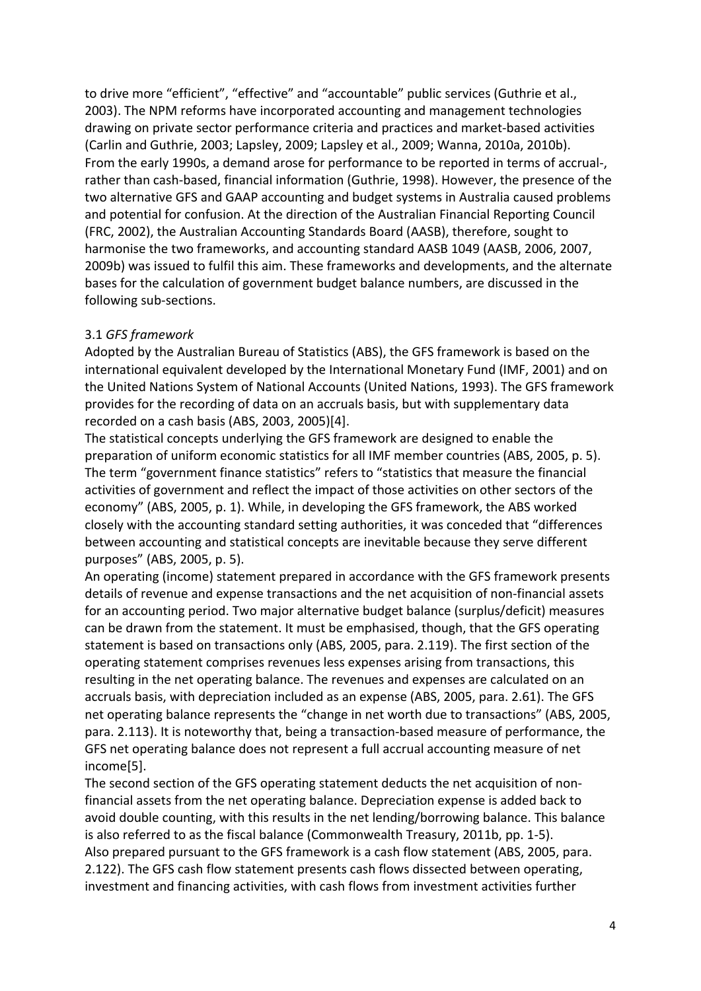to drive more "efficient", "effective" and "accountable" public services (Guthrie et al., 2003). The NPM reforms have incorporated accounting and management technologies drawing on private sector performance criteria and practices and market‐based activities (Carlin and Guthrie, 2003; Lapsley, 2009; Lapsley et al., 2009; Wanna, 2010a, 2010b). From the early 1990s, a demand arose for performance to be reported in terms of accrual‐, rather than cash‐based, financial information (Guthrie, 1998). However, the presence of the two alternative GFS and GAAP accounting and budget systems in Australia caused problems and potential for confusion. At the direction of the Australian Financial Reporting Council (FRC, 2002), the Australian Accounting Standards Board (AASB), therefore, sought to harmonise the two frameworks, and accounting standard AASB 1049 (AASB, 2006, 2007, 2009b) was issued to fulfil this aim. These frameworks and developments, and the alternate bases for the calculation of government budget balance numbers, are discussed in the following sub‐sections.

#### 3.1 *GFS framework*

Adopted by the Australian Bureau of Statistics (ABS), the GFS framework is based on the international equivalent developed by the International Monetary Fund (IMF, 2001) and on the United Nations System of National Accounts (United Nations, 1993). The GFS framework provides for the recording of data on an accruals basis, but with supplementary data recorded on a cash basis (ABS, 2003, 2005)[4].

The statistical concepts underlying the GFS framework are designed to enable the preparation of uniform economic statistics for all IMF member countries (ABS, 2005, p. 5). The term "government finance statistics" refers to "statistics that measure the financial activities of government and reflect the impact of those activities on other sectors of the economy" (ABS, 2005, p. 1). While, in developing the GFS framework, the ABS worked closely with the accounting standard setting authorities, it was conceded that "differences between accounting and statistical concepts are inevitable because they serve different purposes" (ABS, 2005, p. 5).

An operating (income) statement prepared in accordance with the GFS framework presents details of revenue and expense transactions and the net acquisition of non‐financial assets for an accounting period. Two major alternative budget balance (surplus/deficit) measures can be drawn from the statement. It must be emphasised, though, that the GFS operating statement is based on transactions only (ABS, 2005, para. 2.119). The first section of the operating statement comprises revenues less expenses arising from transactions, this resulting in the net operating balance. The revenues and expenses are calculated on an accruals basis, with depreciation included as an expense (ABS, 2005, para. 2.61). The GFS net operating balance represents the "change in net worth due to transactions" (ABS, 2005, para. 2.113). It is noteworthy that, being a transaction‐based measure of performance, the GFS net operating balance does not represent a full accrual accounting measure of net income[5].

The second section of the GFS operating statement deducts the net acquisition of non‐ financial assets from the net operating balance. Depreciation expense is added back to avoid double counting, with this results in the net lending/borrowing balance. This balance is also referred to as the fiscal balance (Commonwealth Treasury, 2011b, pp. 1‐5). Also prepared pursuant to the GFS framework is a cash flow statement (ABS, 2005, para. 2.122). The GFS cash flow statement presents cash flows dissected between operating, investment and financing activities, with cash flows from investment activities further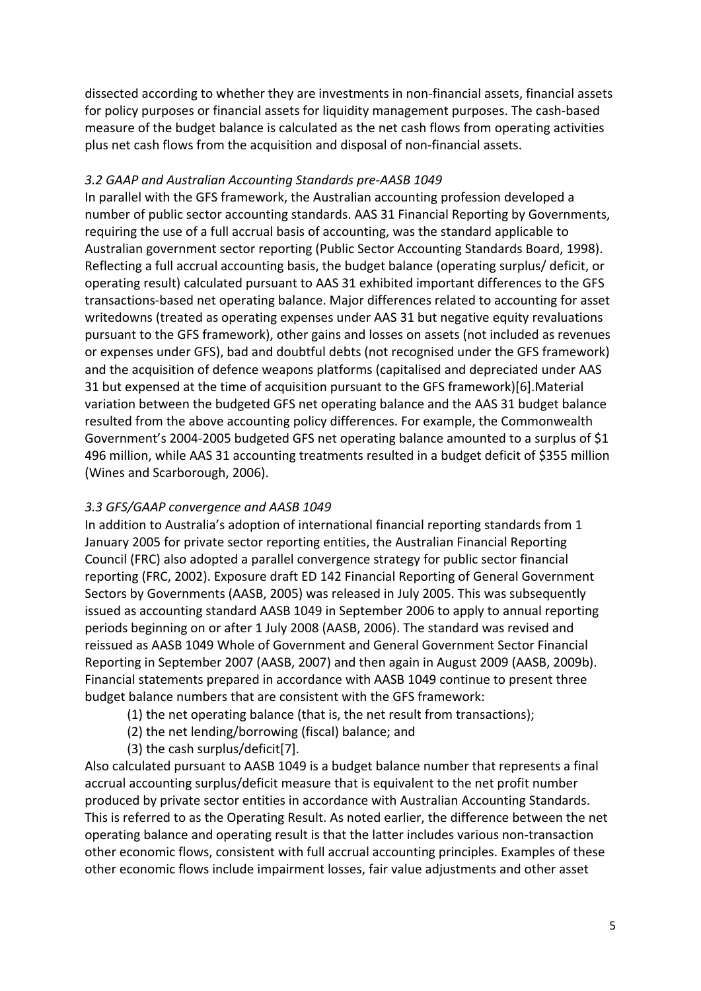dissected according to whether they are investments in non‐financial assets, financial assets for policy purposes or financial assets for liquidity management purposes. The cash-based measure of the budget balance is calculated as the net cash flows from operating activities plus net cash flows from the acquisition and disposal of non‐financial assets.

#### *3.2 GAAP and Australian Accounting Standards pre‐AASB 1049*

In parallel with the GFS framework, the Australian accounting profession developed a number of public sector accounting standards. AAS 31 Financial Reporting by Governments, requiring the use of a full accrual basis of accounting, was the standard applicable to Australian government sector reporting (Public Sector Accounting Standards Board, 1998). Reflecting a full accrual accounting basis, the budget balance (operating surplus/ deficit, or operating result) calculated pursuant to AAS 31 exhibited important differences to the GFS transactions‐based net operating balance. Major differences related to accounting for asset writedowns (treated as operating expenses under AAS 31 but negative equity revaluations pursuant to the GFS framework), other gains and losses on assets (not included as revenues or expenses under GFS), bad and doubtful debts (not recognised under the GFS framework) and the acquisition of defence weapons platforms (capitalised and depreciated under AAS 31 but expensed at the time of acquisition pursuant to the GFS framework)[6].Material variation between the budgeted GFS net operating balance and the AAS 31 budget balance resulted from the above accounting policy differences. For example, the Commonwealth Government's 2004‐2005 budgeted GFS net operating balance amounted to a surplus of \$1 496 million, while AAS 31 accounting treatments resulted in a budget deficit of \$355 million (Wines and Scarborough, 2006).

### *3.3 GFS/GAAP convergence and AASB 1049*

In addition to Australia's adoption of international financial reporting standards from 1 January 2005 for private sector reporting entities, the Australian Financial Reporting Council (FRC) also adopted a parallel convergence strategy for public sector financial reporting (FRC, 2002). Exposure draft ED 142 Financial Reporting of General Government Sectors by Governments (AASB, 2005) was released in July 2005. This was subsequently issued as accounting standard AASB 1049 in September 2006 to apply to annual reporting periods beginning on or after 1 July 2008 (AASB, 2006). The standard was revised and reissued as AASB 1049 Whole of Government and General Government Sector Financial Reporting in September 2007 (AASB, 2007) and then again in August 2009 (AASB, 2009b). Financial statements prepared in accordance with AASB 1049 continue to present three budget balance numbers that are consistent with the GFS framework:

- (1) the net operating balance (that is, the net result from transactions);
- (2) the net lending/borrowing (fiscal) balance; and
- (3) the cash surplus/deficit[7].

Also calculated pursuant to AASB 1049 is a budget balance number that represents a final accrual accounting surplus/deficit measure that is equivalent to the net profit number produced by private sector entities in accordance with Australian Accounting Standards. This is referred to as the Operating Result. As noted earlier, the difference between the net operating balance and operating result is that the latter includes various non‐transaction other economic flows, consistent with full accrual accounting principles. Examples of these other economic flows include impairment losses, fair value adjustments and other asset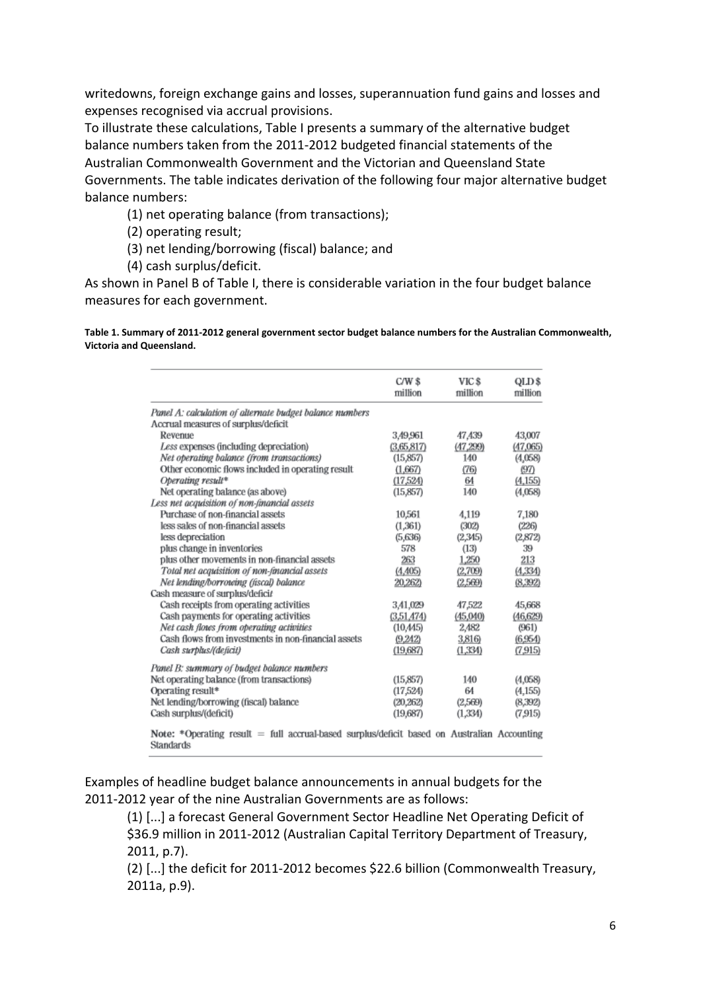writedowns, foreign exchange gains and losses, superannuation fund gains and losses and expenses recognised via accrual provisions.

To illustrate these calculations, Table I presents a summary of the alternative budget balance numbers taken from the 2011‐2012 budgeted financial statements of the Australian Commonwealth Government and the Victorian and Queensland State Governments. The table indicates derivation of the following four major alternative budget balance numbers:

- (1) net operating balance (from transactions);
- (2) operating result;
- (3) net lending/borrowing (fiscal) balance; and
- (4) cash surplus/deficit.

As shown in Panel B of Table I, there is considerable variation in the four budget balance measures for each government.

Table 1. Summary of 2011-2012 general government sector budget balance numbers for the Australian Commonwealth, **Victoria and Queensland.**

|                                                                                                            | C/W\$<br>million | VIC <sup>\$</sup><br>million | QLD \$<br>million |
|------------------------------------------------------------------------------------------------------------|------------------|------------------------------|-------------------|
| Panel A: calculation of alternate budget balance numbers                                                   |                  |                              |                   |
| Accrual measures of surplus/deficit                                                                        |                  |                              |                   |
| Revenue                                                                                                    | 3,49,961         | 47.439                       | 43,007            |
| Less expenses (including depreciation)                                                                     | (3,65,817)       | (47.299)                     | (47,065)          |
| Net operating balance (from transactions)                                                                  | (15,857)         | 140                          | (4,058)           |
| Other economic flows included in operating result                                                          | (1,667)          | (76)                         | (97)              |
| Operating result*                                                                                          | (17,524)         | 64                           | (4, 155)          |
| Net operating balance (as above)                                                                           | (15,857)         | 140                          | (4.058)           |
| Less net acquisition of non-financial assets                                                               |                  |                              |                   |
| Purchase of non-financial assets                                                                           | 10,561           | 4,119                        | 7,180             |
| less sales of non-financial assets                                                                         | (1.361)          | (302)                        | (226)             |
| less depreciation                                                                                          | (5,636)          | (2,345)                      | (2,872)           |
| plus change in inventories                                                                                 | 578              | (13)                         | 39                |
| plus other movements in non-financial assets                                                               | 263              | 1,250                        | 213               |
| Total net acquisition of non-financial assets                                                              | (4,405)          | (2,709)                      | (4,334)           |
| Net lending/borrowing (fiscal) balance                                                                     | 20,262)          | (2,569)                      | (8,392)           |
| Cash measure of surplus/deficit                                                                            |                  |                              |                   |
| Cash receipts from operating activities                                                                    | 3,41,029         | 47,522                       | 45,668            |
| Cash payments for operating activities                                                                     | (3,51,474)       | (45,040)                     | (46, 629)         |
| Net cash flows from operating activities                                                                   | (10, 445)        | 2,482                        | (961)             |
| Cash flows from investments in non-financial assets                                                        | (9,242)          | 3,816)                       | (6,954)           |
| Cash surplus/(deficit)                                                                                     | (19,687)         | (1, 334)                     | (7.915)           |
| Panel B: summary of budget balance numbers                                                                 |                  |                              |                   |
| Net operating balance (from transactions)                                                                  | (15,857)         | 140                          | (4,058)           |
| Operating result*                                                                                          | (17,524)         | 64                           | (4,155)           |
| Net lending/borrowing (fiscal) balance                                                                     | (20, 262)        | (2,569)                      | (8,392)           |
| Cash surplus/(deficit)                                                                                     | (19,687)         | (1,334)                      | (7.915)           |
| Note: *Operating result $=$ full accrual-based surplus/deficit based on Australian Accounting<br>Standards |                  |                              |                   |

Examples of headline budget balance announcements in annual budgets for the 2011-2012 year of the nine Australian Governments are as follows:

(1) [...] a forecast General Government Sector Headline Net Operating Deficit of \$36.9 million in 2011‐2012 (Australian Capital Territory Department of Treasury, 2011, p.7).

(2) [...] the deficit for 2011‐2012 becomes \$22.6 billion (Commonwealth Treasury, 2011a, p.9).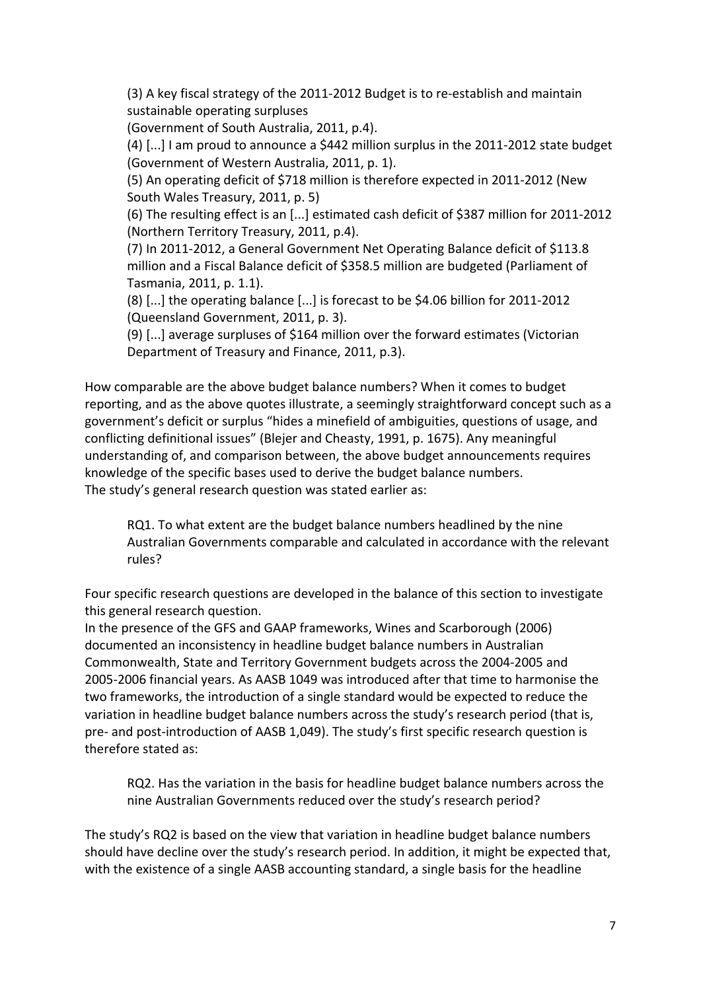(3) A key fiscal strategy of the 2011‐2012 Budget is to re‐establish and maintain sustainable operating surpluses

(Government of South Australia, 2011, p.4).

(4) [...] I am proud to announce a \$442 million surplus in the 2011‐2012 state budget (Government of Western Australia, 2011, p. 1).

(5) An operating deficit of \$718 million is therefore expected in 2011‐2012 (New South Wales Treasury, 2011, p. 5)

(6) The resulting effect is an [...] estimated cash deficit of \$387 million for 2011‐2012 (Northern Territory Treasury, 2011, p.4).

(7) In 2011‐2012, a General Government Net Operating Balance deficit of \$113.8 million and a Fiscal Balance deficit of \$358.5 million are budgeted (Parliament of Tasmania, 2011, p. 1.1).

(8) [...] the operating balance [...] is forecast to be \$4.06 billion for 2011‐2012 (Queensland Government, 2011, p. 3).

(9) [...] average surpluses of \$164 million over the forward estimates (Victorian Department of Treasury and Finance, 2011, p.3).

How comparable are the above budget balance numbers? When it comes to budget reporting, and as the above quotes illustrate, a seemingly straightforward concept such as a government's deficit or surplus "hides a minefield of ambiguities, questions of usage, and conflicting definitional issues" (Blejer and Cheasty, 1991, p. 1675). Any meaningful understanding of, and comparison between, the above budget announcements requires knowledge of the specific bases used to derive the budget balance numbers. The study's general research question was stated earlier as:

RQ1. To what extent are the budget balance numbers headlined by the nine Australian Governments comparable and calculated in accordance with the relevant rules?

Four specific research questions are developed in the balance of this section to investigate this general research question.

In the presence of the GFS and GAAP frameworks, Wines and Scarborough (2006) documented an inconsistency in headline budget balance numbers in Australian Commonwealth, State and Territory Government budgets across the 2004‐2005 and 2005‐2006 financial years. As AASB 1049 was introduced after that time to harmonise the two frameworks, the introduction of a single standard would be expected to reduce the variation in headline budget balance numbers across the study's research period (that is, pre- and post-introduction of AASB 1,049). The study's first specific research question is therefore stated as:

RQ2. Has the variation in the basis for headline budget balance numbers across the nine Australian Governments reduced over the study's research period?

The study's RQ2 is based on the view that variation in headline budget balance numbers should have decline over the study's research period. In addition, it might be expected that, with the existence of a single AASB accounting standard, a single basis for the headline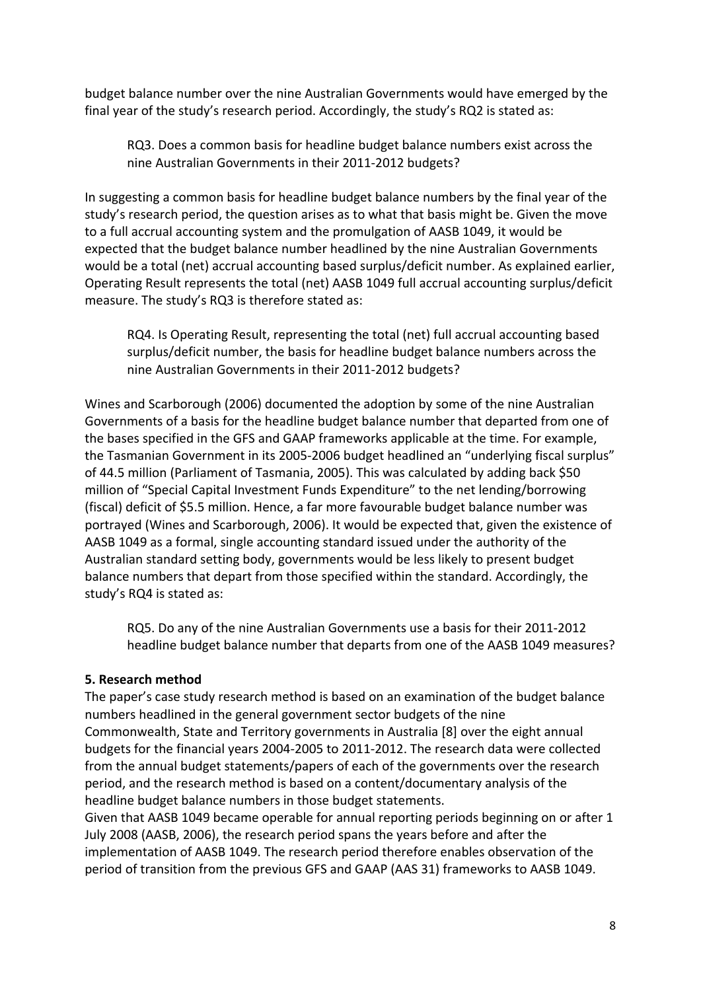budget balance number over the nine Australian Governments would have emerged by the final year of the study's research period. Accordingly, the study's RQ2 is stated as:

RQ3. Does a common basis for headline budget balance numbers exist across the nine Australian Governments in their 2011‐2012 budgets?

In suggesting a common basis for headline budget balance numbers by the final year of the study's research period, the question arises as to what that basis might be. Given the move to a full accrual accounting system and the promulgation of AASB 1049, it would be expected that the budget balance number headlined by the nine Australian Governments would be a total (net) accrual accounting based surplus/deficit number. As explained earlier, Operating Result represents the total (net) AASB 1049 full accrual accounting surplus/deficit measure. The study's RQ3 is therefore stated as:

RQ4. Is Operating Result, representing the total (net) full accrual accounting based surplus/deficit number, the basis for headline budget balance numbers across the nine Australian Governments in their 2011‐2012 budgets?

Wines and Scarborough (2006) documented the adoption by some of the nine Australian Governments of a basis for the headline budget balance number that departed from one of the bases specified in the GFS and GAAP frameworks applicable at the time. For example, the Tasmanian Government in its 2005‐2006 budget headlined an "underlying fiscal surplus" of 44.5 million (Parliament of Tasmania, 2005). This was calculated by adding back \$50 million of "Special Capital Investment Funds Expenditure" to the net lending/borrowing (fiscal) deficit of \$5.5 million. Hence, a far more favourable budget balance number was portrayed (Wines and Scarborough, 2006). It would be expected that, given the existence of AASB 1049 as a formal, single accounting standard issued under the authority of the Australian standard setting body, governments would be less likely to present budget balance numbers that depart from those specified within the standard. Accordingly, the study's RQ4 is stated as:

RQ5. Do any of the nine Australian Governments use a basis for their 2011‐2012 headline budget balance number that departs from one of the AASB 1049 measures?

### **5. Research method**

The paper's case study research method is based on an examination of the budget balance numbers headlined in the general government sector budgets of the nine Commonwealth, State and Territory governments in Australia [8] over the eight annual budgets for the financial years 2004‐2005 to 2011‐2012. The research data were collected from the annual budget statements/papers of each of the governments over the research period, and the research method is based on a content/documentary analysis of the headline budget balance numbers in those budget statements.

Given that AASB 1049 became operable for annual reporting periods beginning on or after 1 July 2008 (AASB, 2006), the research period spans the years before and after the implementation of AASB 1049. The research period therefore enables observation of the period of transition from the previous GFS and GAAP (AAS 31) frameworks to AASB 1049.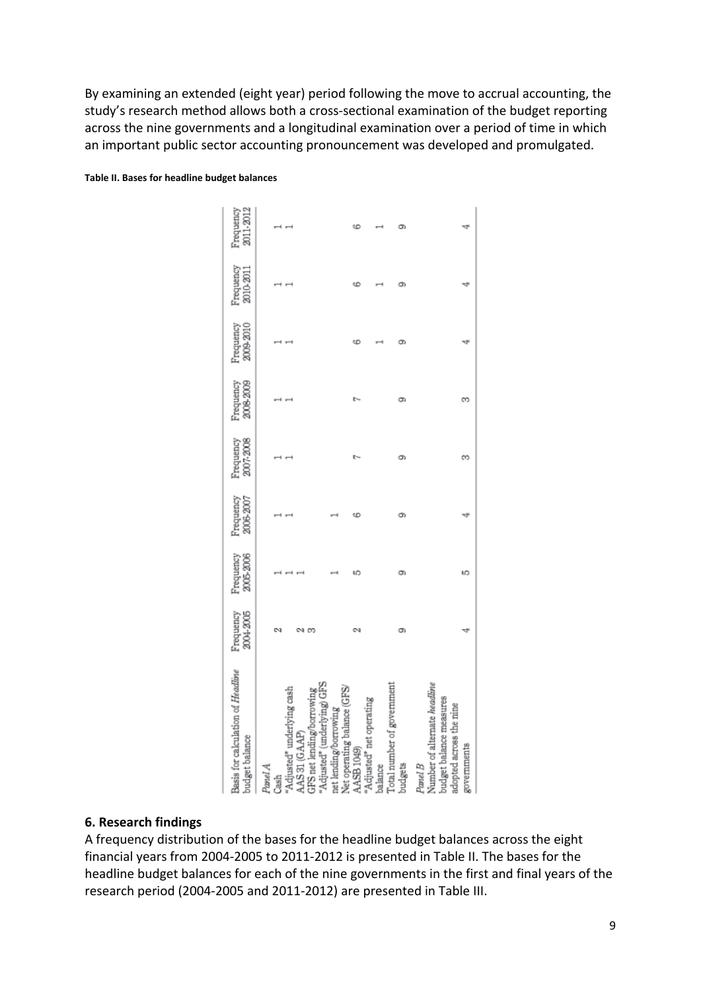By examining an extended (eight year) period following the move to accrual accounting, the study's research method allows both a cross‐sectional examination of the budget reporting across the nine governments and a longitudinal examination over a period of time in which an important public sector accounting pronouncement was developed and promulgated.

| Basis for calculation of Headine<br>budget balance                                           | 2004-2005<br>Frequency | Frequency<br>2005-2006 | Frequency<br>2006-2007 | Frequency<br>2007-2008 | Frequency<br>2008-2009 | Frequency<br>2009-2010 | Frequency<br>2010-2011 | 2011-2012<br>Frequency |
|----------------------------------------------------------------------------------------------|------------------------|------------------------|------------------------|------------------------|------------------------|------------------------|------------------------|------------------------|
| Panel A<br>Cash                                                                              |                        |                        |                        |                        |                        |                        |                        |                        |
| "Adjusted" underlying cash                                                                   |                        |                        |                        |                        |                        |                        |                        |                        |
| AAS31 (GAAP)                                                                                 |                        |                        |                        |                        |                        |                        |                        |                        |
| GFS net lending/borrowing                                                                    |                        |                        |                        |                        |                        |                        |                        |                        |
| "Adjusted" (underlying) GFS                                                                  |                        |                        |                        |                        |                        |                        |                        |                        |
| Net operating balance (GF<br>net lending/borrowing                                           |                        |                        |                        |                        |                        |                        |                        |                        |
| AASB 1049                                                                                    |                        | LО                     | ¢                      |                        |                        | භ                      | œ                      |                        |
| "Adjusted" net operating                                                                     |                        |                        |                        |                        |                        |                        |                        |                        |
| Total number of governmen'<br>balance                                                        |                        |                        |                        |                        |                        |                        |                        |                        |
| budgets                                                                                      |                        | ග                      | ග                      |                        | œ                      |                        |                        |                        |
| Number of alternate headine<br>budget balance measures<br>adopted across the nine<br>Panel B |                        |                        |                        |                        |                        |                        |                        |                        |
| governments                                                                                  |                        |                        | 빡                      |                        |                        | 낙                      | 빡                      |                        |

#### **Table II. Bases for headline budget balances**

#### **6. Research findings**

A frequency distribution of the bases for the headline budget balances across the eight financial years from 2004‐2005 to 2011‐2012 is presented in Table II. The bases for the headline budget balances for each of the nine governments in the first and final years of the research period (2004‐2005 and 2011‐2012) are presented in Table III.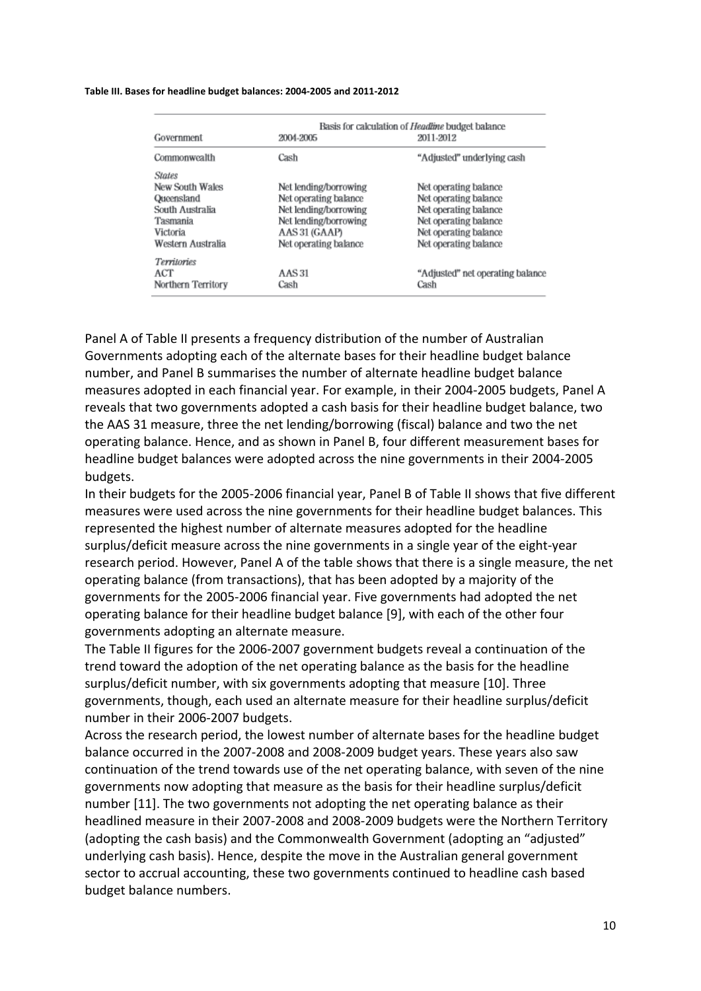#### **Table III. Bases for headline budget balances: 2004‐2005 and 2011‐2012**

|                    | Basis for calculation of Headline budget balance |                                  |  |  |
|--------------------|--------------------------------------------------|----------------------------------|--|--|
| Government         | 2004-2005                                        | 2011-2012                        |  |  |
| Commonwealth       | Cash                                             | "Adjusted" underlying cash       |  |  |
| <b>States</b>      |                                                  |                                  |  |  |
| New South Wales    | Net lending/borrowing                            | Net operating balance            |  |  |
| Queensland         | Net operating balance                            | Net operating balance            |  |  |
| South Australia    | Net lending/borrowing                            | Net operating balance            |  |  |
| Tasmania           | Net lending/borrowing                            | Net operating balance            |  |  |
| Victoria           | AAS 31 (GAAP)                                    | Net operating balance            |  |  |
| Western Australia  | Net operating balance                            | Net operating balance            |  |  |
| <b>Territories</b> |                                                  |                                  |  |  |
| ACT                | AAS 31                                           | "Adjusted" net operating balance |  |  |
| Northern Territory | Cash                                             | Cash                             |  |  |

Panel A of Table II presents a frequency distribution of the number of Australian Governments adopting each of the alternate bases for their headline budget balance number, and Panel B summarises the number of alternate headline budget balance measures adopted in each financial year. For example, in their 2004‐2005 budgets, Panel A reveals that two governments adopted a cash basis for their headline budget balance, two the AAS 31 measure, three the net lending/borrowing (fiscal) balance and two the net operating balance. Hence, and as shown in Panel B, four different measurement bases for headline budget balances were adopted across the nine governments in their 2004‐2005 budgets.

In their budgets for the 2005‐2006 financial year, Panel B of Table II shows that five different measures were used across the nine governments for their headline budget balances. This represented the highest number of alternate measures adopted for the headline surplus/deficit measure across the nine governments in a single year of the eight‐year research period. However, Panel A of the table shows that there is a single measure, the net operating balance (from transactions), that has been adopted by a majority of the governments for the 2005‐2006 financial year. Five governments had adopted the net operating balance for their headline budget balance [9], with each of the other four governments adopting an alternate measure.

The Table II figures for the 2006‐2007 government budgets reveal a continuation of the trend toward the adoption of the net operating balance as the basis for the headline surplus/deficit number, with six governments adopting that measure [10]. Three governments, though, each used an alternate measure for their headline surplus/deficit number in their 2006‐2007 budgets.

Across the research period, the lowest number of alternate bases for the headline budget balance occurred in the 2007‐2008 and 2008‐2009 budget years. These years also saw continuation of the trend towards use of the net operating balance, with seven of the nine governments now adopting that measure as the basis for their headline surplus/deficit number [11]. The two governments not adopting the net operating balance as their headlined measure in their 2007‐2008 and 2008‐2009 budgets were the Northern Territory (adopting the cash basis) and the Commonwealth Government (adopting an "adjusted" underlying cash basis). Hence, despite the move in the Australian general government sector to accrual accounting, these two governments continued to headline cash based budget balance numbers.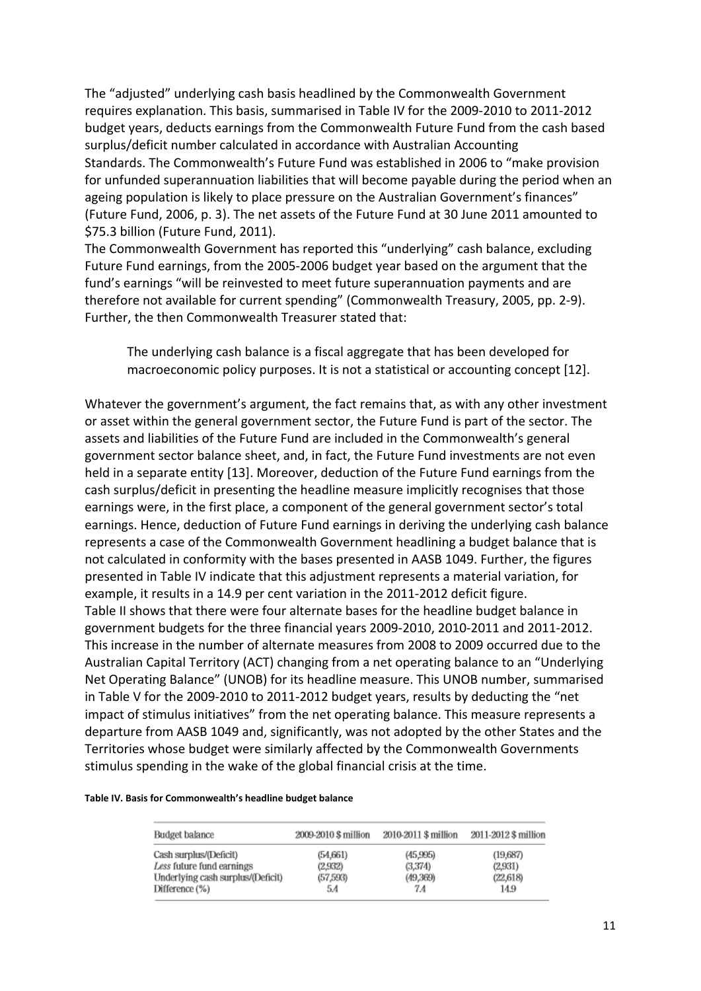The "adjusted" underlying cash basis headlined by the Commonwealth Government requires explanation. This basis, summarised in Table IV for the 2009‐2010 to 2011‐2012 budget years, deducts earnings from the Commonwealth Future Fund from the cash based surplus/deficit number calculated in accordance with Australian Accounting Standards. The Commonwealth's Future Fund was established in 2006 to "make provision for unfunded superannuation liabilities that will become payable during the period when an ageing population is likely to place pressure on the Australian Government's finances" (Future Fund, 2006, p. 3). The net assets of the Future Fund at 30 June 2011 amounted to \$75.3 billion (Future Fund, 2011).

The Commonwealth Government has reported this "underlying" cash balance, excluding Future Fund earnings, from the 2005‐2006 budget year based on the argument that the fund's earnings "will be reinvested to meet future superannuation payments and are therefore not available for current spending" (Commonwealth Treasury, 2005, pp. 2‐9). Further, the then Commonwealth Treasurer stated that:

The underlying cash balance is a fiscal aggregate that has been developed for macroeconomic policy purposes. It is not a statistical or accounting concept [12].

Whatever the government's argument, the fact remains that, as with any other investment or asset within the general government sector, the Future Fund is part of the sector. The assets and liabilities of the Future Fund are included in the Commonwealth's general government sector balance sheet, and, in fact, the Future Fund investments are not even held in a separate entity [13]. Moreover, deduction of the Future Fund earnings from the cash surplus/deficit in presenting the headline measure implicitly recognises that those earnings were, in the first place, a component of the general government sector's total earnings. Hence, deduction of Future Fund earnings in deriving the underlying cash balance represents a case of the Commonwealth Government headlining a budget balance that is not calculated in conformity with the bases presented in AASB 1049. Further, the figures presented in Table IV indicate that this adjustment represents a material variation, for example, it results in a 14.9 per cent variation in the 2011‐2012 deficit figure. Table II shows that there were four alternate bases for the headline budget balance in government budgets for the three financial years 2009‐2010, 2010‐2011 and 2011‐2012. This increase in the number of alternate measures from 2008 to 2009 occurred due to the Australian Capital Territory (ACT) changing from a net operating balance to an "Underlying Net Operating Balance" (UNOB) for its headline measure. This UNOB number, summarised in Table V for the 2009‐2010 to 2011‐2012 budget years, results by deducting the "net impact of stimulus initiatives" from the net operating balance. This measure represents a departure from AASB 1049 and, significantly, was not adopted by the other States and the Territories whose budget were similarly affected by the Commonwealth Governments stimulus spending in the wake of the global financial crisis at the time.

#### **Table IV. Basis for Commonwealth's headline budget balance**

| <b>Budget balance</b>             | 2009-2010 \$ million | 2010-2011 \$ million | 2011-2012 \$ million |
|-----------------------------------|----------------------|----------------------|----------------------|
| Cash surplus/(Deficit)            | (54.661)             | (45.995)             | (19.687)             |
| Less future fund earnings         | (2.932)              | (3.374)              | (2.931)              |
| Underlying cash surplus/(Deficit) | (57,593)             | (49,369)             | (22, 618)            |
| Difference (%)                    | 5.4                  | 7.4                  | 14.9                 |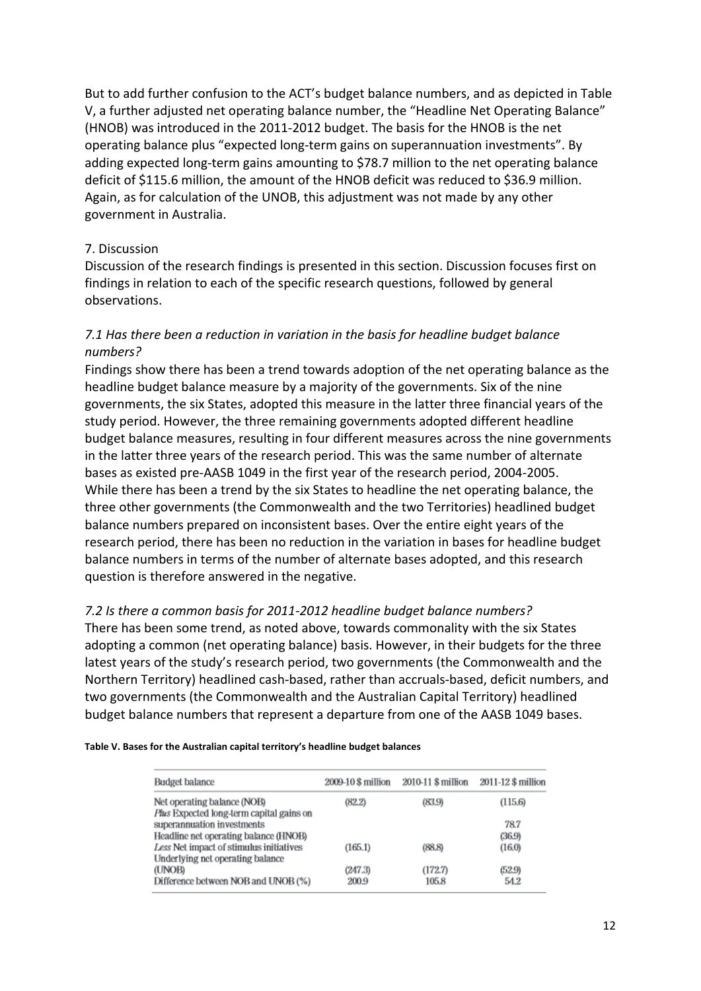But to add further confusion to the ACT's budget balance numbers, and as depicted in Table V, a further adjusted net operating balance number, the "Headline Net Operating Balance" (HNOB) was introduced in the 2011‐2012 budget. The basis for the HNOB is the net operating balance plus "expected long‐term gains on superannuation investments". By adding expected long-term gains amounting to \$78.7 million to the net operating balance deficit of \$115.6 million, the amount of the HNOB deficit was reduced to \$36.9 million. Again, as for calculation of the UNOB, this adjustment was not made by any other government in Australia.

#### 7. Discussion

Discussion of the research findings is presented in this section. Discussion focuses first on findings in relation to each of the specific research questions, followed by general observations.

## *7.1 Has there been a reduction in variation in the basis for headline budget balance numbers?*

Findings show there has been a trend towards adoption of the net operating balance as the headline budget balance measure by a majority of the governments. Six of the nine governments, the six States, adopted this measure in the latter three financial years of the study period. However, the three remaining governments adopted different headline budget balance measures, resulting in four different measures across the nine governments in the latter three years of the research period. This was the same number of alternate bases as existed pre‐AASB 1049 in the first year of the research period, 2004‐2005. While there has been a trend by the six States to headline the net operating balance, the three other governments (the Commonwealth and the two Territories) headlined budget balance numbers prepared on inconsistent bases. Over the entire eight years of the research period, there has been no reduction in the variation in bases for headline budget balance numbers in terms of the number of alternate bases adopted, and this research question is therefore answered in the negative.

### *7.2 Is there a common basis for 2011‐2012 headline budget balance numbers?*

There has been some trend, as noted above, towards commonality with the six States adopting a common (net operating balance) basis. However, in their budgets for the three latest years of the study's research period, two governments (the Commonwealth and the Northern Territory) headlined cash‐based, rather than accruals‐based, deficit numbers, and two governments (the Commonwealth and the Australian Capital Territory) headlined budget balance numbers that represent a departure from one of the AASB 1049 bases.

#### **Table V. Bases for the Australian capital territory's headline budget balances**

| Budget balance                                                              | 2009-10 \$ million | 2010-11 \$ million | 2011-12 \$ million |
|-----------------------------------------------------------------------------|--------------------|--------------------|--------------------|
| Net operating balance (NOB)                                                 | (82.2)             | (83.9)             | (115.6)            |
| Plus Expected long-term capital gains on                                    |                    |                    |                    |
| superannuation investments                                                  |                    |                    | 78.7               |
| Headline net operating balance (HNOB)                                       |                    |                    | (36.9)             |
| Less Net impact of stimulus initiatives<br>Underlying net operating balance | (165.1)            | (88.8)             | (16.0)             |
| (UNOB)                                                                      | (247.3)            | (172.7)            | (52.9)             |
| Difference between NOB and UNOB (%)                                         | 200.9              | 105.8              | 54.2               |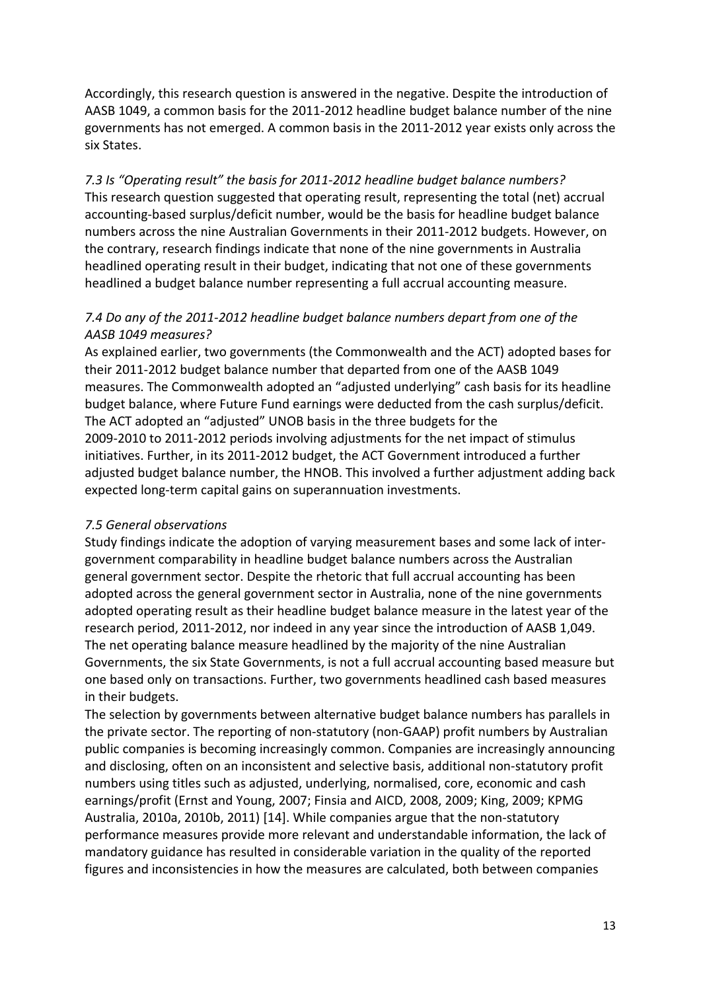Accordingly, this research question is answered in the negative. Despite the introduction of AASB 1049, a common basis for the 2011‐2012 headline budget balance number of the nine governments has not emerged. A common basis in the 2011‐2012 year exists only across the six States.

*7.3 Is "Operating result" the basis for 2011‐2012 headline budget balance numbers?* This research question suggested that operating result, representing the total (net) accrual accounting‐based surplus/deficit number, would be the basis for headline budget balance numbers across the nine Australian Governments in their 2011‐2012 budgets. However, on the contrary, research findings indicate that none of the nine governments in Australia headlined operating result in their budget, indicating that not one of these governments headlined a budget balance number representing a full accrual accounting measure.

## *7.4 Do any of the 2011‐2012 headline budget balance numbers depart from one of the AASB 1049 measures?*

As explained earlier, two governments (the Commonwealth and the ACT) adopted bases for their 2011‐2012 budget balance number that departed from one of the AASB 1049 measures. The Commonwealth adopted an "adjusted underlying" cash basis for its headline budget balance, where Future Fund earnings were deducted from the cash surplus/deficit. The ACT adopted an "adjusted" UNOB basis in the three budgets for the 2009‐2010 to 2011‐2012 periods involving adjustments for the net impact of stimulus initiatives. Further, in its 2011‐2012 budget, the ACT Government introduced a further adjusted budget balance number, the HNOB. This involved a further adjustment adding back expected long‐term capital gains on superannuation investments.

### *7.5 General observations*

Study findings indicate the adoption of varying measurement bases and some lack of inter‐ government comparability in headline budget balance numbers across the Australian general government sector. Despite the rhetoric that full accrual accounting has been adopted across the general government sector in Australia, none of the nine governments adopted operating result as their headline budget balance measure in the latest year of the research period, 2011‐2012, nor indeed in any year since the introduction of AASB 1,049. The net operating balance measure headlined by the majority of the nine Australian Governments, the six State Governments, is not a full accrual accounting based measure but one based only on transactions. Further, two governments headlined cash based measures in their budgets.

The selection by governments between alternative budget balance numbers has parallels in the private sector. The reporting of non‐statutory (non‐GAAP) profit numbers by Australian public companies is becoming increasingly common. Companies are increasingly announcing and disclosing, often on an inconsistent and selective basis, additional non-statutory profit numbers using titles such as adjusted, underlying, normalised, core, economic and cash earnings/profit (Ernst and Young, 2007; Finsia and AICD, 2008, 2009; King, 2009; KPMG Australia, 2010a, 2010b, 2011) [14]. While companies argue that the non‐statutory performance measures provide more relevant and understandable information, the lack of mandatory guidance has resulted in considerable variation in the quality of the reported figures and inconsistencies in how the measures are calculated, both between companies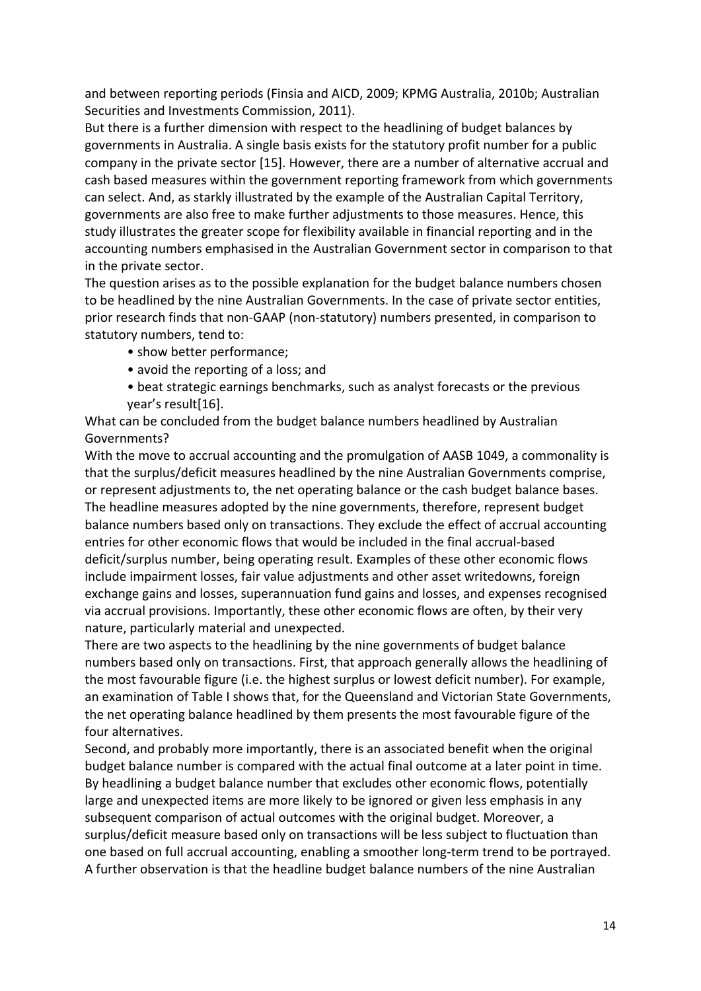and between reporting periods (Finsia and AICD, 2009; KPMG Australia, 2010b; Australian Securities and Investments Commission, 2011).

But there is a further dimension with respect to the headlining of budget balances by governments in Australia. A single basis exists for the statutory profit number for a public company in the private sector [15]. However, there are a number of alternative accrual and cash based measures within the government reporting framework from which governments can select. And, as starkly illustrated by the example of the Australian Capital Territory, governments are also free to make further adjustments to those measures. Hence, this study illustrates the greater scope for flexibility available in financial reporting and in the accounting numbers emphasised in the Australian Government sector in comparison to that in the private sector.

The question arises as to the possible explanation for the budget balance numbers chosen to be headlined by the nine Australian Governments. In the case of private sector entities, prior research finds that non‐GAAP (non‐statutory) numbers presented, in comparison to statutory numbers, tend to:

- show better performance;
- avoid the reporting of a loss; and
- beat strategic earnings benchmarks, such as analyst forecasts or the previous year's result[16].

What can be concluded from the budget balance numbers headlined by Australian Governments?

With the move to accrual accounting and the promulgation of AASB 1049, a commonality is that the surplus/deficit measures headlined by the nine Australian Governments comprise, or represent adjustments to, the net operating balance or the cash budget balance bases. The headline measures adopted by the nine governments, therefore, represent budget balance numbers based only on transactions. They exclude the effect of accrual accounting entries for other economic flows that would be included in the final accrual‐based deficit/surplus number, being operating result. Examples of these other economic flows include impairment losses, fair value adjustments and other asset writedowns, foreign exchange gains and losses, superannuation fund gains and losses, and expenses recognised via accrual provisions. Importantly, these other economic flows are often, by their very nature, particularly material and unexpected.

There are two aspects to the headlining by the nine governments of budget balance numbers based only on transactions. First, that approach generally allows the headlining of the most favourable figure (i.e. the highest surplus or lowest deficit number). For example, an examination of Table I shows that, for the Queensland and Victorian State Governments, the net operating balance headlined by them presents the most favourable figure of the four alternatives.

Second, and probably more importantly, there is an associated benefit when the original budget balance number is compared with the actual final outcome at a later point in time. By headlining a budget balance number that excludes other economic flows, potentially large and unexpected items are more likely to be ignored or given less emphasis in any subsequent comparison of actual outcomes with the original budget. Moreover, a surplus/deficit measure based only on transactions will be less subject to fluctuation than one based on full accrual accounting, enabling a smoother long‐term trend to be portrayed. A further observation is that the headline budget balance numbers of the nine Australian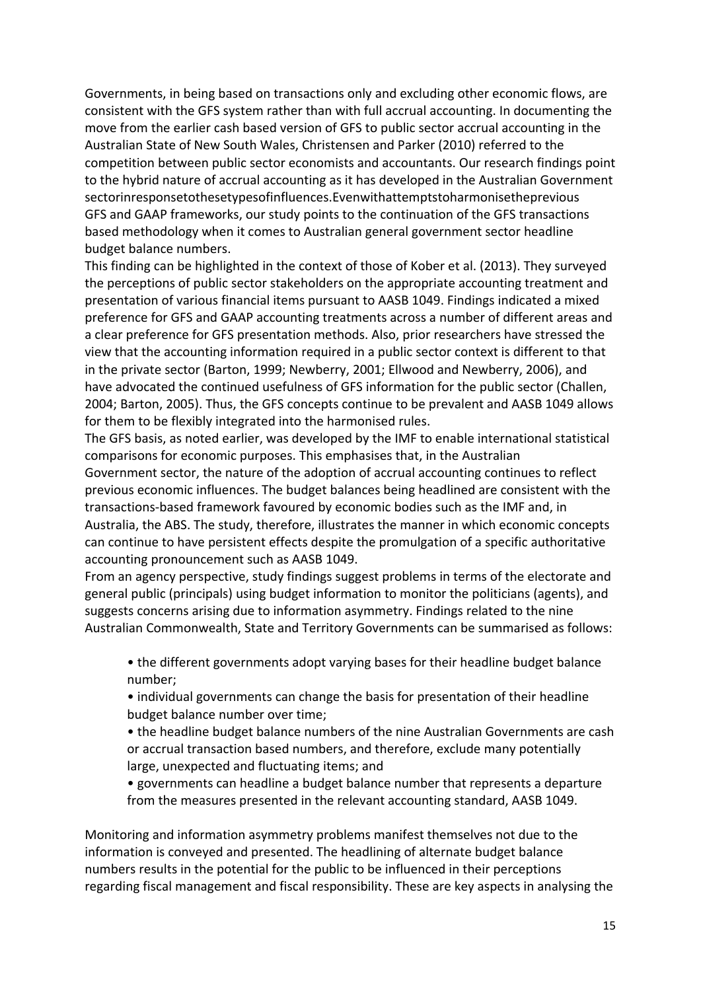Governments, in being based on transactions only and excluding other economic flows, are consistent with the GFS system rather than with full accrual accounting. In documenting the move from the earlier cash based version of GFS to public sector accrual accounting in the Australian State of New South Wales, Christensen and Parker (2010) referred to the competition between public sector economists and accountants. Our research findings point to the hybrid nature of accrual accounting as it has developed in the Australian Government sectorinresponsetothesetypesofinfluences.Evenwithattemptstoharmonisetheprevious GFS and GAAP frameworks, our study points to the continuation of the GFS transactions based methodology when it comes to Australian general government sector headline budget balance numbers.

This finding can be highlighted in the context of those of Kober et al. (2013). They surveyed the perceptions of public sector stakeholders on the appropriate accounting treatment and presentation of various financial items pursuant to AASB 1049. Findings indicated a mixed preference for GFS and GAAP accounting treatments across a number of different areas and a clear preference for GFS presentation methods. Also, prior researchers have stressed the view that the accounting information required in a public sector context is different to that in the private sector (Barton, 1999; Newberry, 2001; Ellwood and Newberry, 2006), and have advocated the continued usefulness of GFS information for the public sector (Challen, 2004; Barton, 2005). Thus, the GFS concepts continue to be prevalent and AASB 1049 allows for them to be flexibly integrated into the harmonised rules.

The GFS basis, as noted earlier, was developed by the IMF to enable international statistical comparisons for economic purposes. This emphasises that, in the Australian Government sector, the nature of the adoption of accrual accounting continues to reflect previous economic influences. The budget balances being headlined are consistent with the transactions‐based framework favoured by economic bodies such as the IMF and, in Australia, the ABS. The study, therefore, illustrates the manner in which economic concepts can continue to have persistent effects despite the promulgation of a specific authoritative accounting pronouncement such as AASB 1049.

From an agency perspective, study findings suggest problems in terms of the electorate and general public (principals) using budget information to monitor the politicians (agents), and suggests concerns arising due to information asymmetry. Findings related to the nine Australian Commonwealth, State and Territory Governments can be summarised as follows:

• the different governments adopt varying bases for their headline budget balance number;

• individual governments can change the basis for presentation of their headline budget balance number over time;

• the headline budget balance numbers of the nine Australian Governments are cash or accrual transaction based numbers, and therefore, exclude many potentially large, unexpected and fluctuating items; and

• governments can headline a budget balance number that represents a departure from the measures presented in the relevant accounting standard, AASB 1049.

Monitoring and information asymmetry problems manifest themselves not due to the information is conveyed and presented. The headlining of alternate budget balance numbers results in the potential for the public to be influenced in their perceptions regarding fiscal management and fiscal responsibility. These are key aspects in analysing the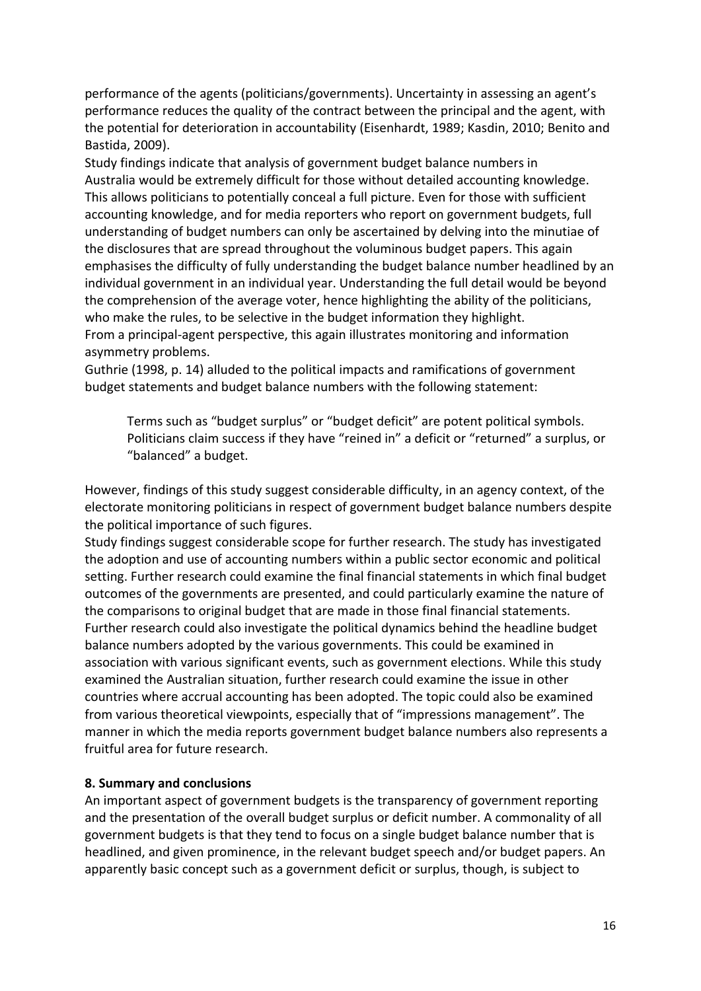performance of the agents (politicians/governments). Uncertainty in assessing an agent's performance reduces the quality of the contract between the principal and the agent, with the potential for deterioration in accountability (Eisenhardt, 1989; Kasdin, 2010; Benito and Bastida, 2009).

Study findings indicate that analysis of government budget balance numbers in Australia would be extremely difficult for those without detailed accounting knowledge. This allows politicians to potentially conceal a full picture. Even for those with sufficient accounting knowledge, and for media reporters who report on government budgets, full understanding of budget numbers can only be ascertained by delving into the minutiae of the disclosures that are spread throughout the voluminous budget papers. This again emphasises the difficulty of fully understanding the budget balance number headlined by an individual government in an individual year. Understanding the full detail would be beyond the comprehension of the average voter, hence highlighting the ability of the politicians, who make the rules, to be selective in the budget information they highlight. From a principal‐agent perspective, this again illustrates monitoring and information asymmetry problems.

Guthrie (1998, p. 14) alluded to the political impacts and ramifications of government budget statements and budget balance numbers with the following statement:

Terms such as "budget surplus" or "budget deficit" are potent political symbols. Politicians claim success if they have "reined in" a deficit or "returned" a surplus, or "balanced" a budget.

However, findings of this study suggest considerable difficulty, in an agency context, of the electorate monitoring politicians in respect of government budget balance numbers despite the political importance of such figures.

Study findings suggest considerable scope for further research. The study has investigated the adoption and use of accounting numbers within a public sector economic and political setting. Further research could examine the final financial statements in which final budget outcomes of the governments are presented, and could particularly examine the nature of the comparisons to original budget that are made in those final financial statements. Further research could also investigate the political dynamics behind the headline budget balance numbers adopted by the various governments. This could be examined in association with various significant events, such as government elections. While this study examined the Australian situation, further research could examine the issue in other countries where accrual accounting has been adopted. The topic could also be examined from various theoretical viewpoints, especially that of "impressions management". The manner in which the media reports government budget balance numbers also represents a fruitful area for future research.

#### **8. Summary and conclusions**

An important aspect of government budgets is the transparency of government reporting and the presentation of the overall budget surplus or deficit number. A commonality of all government budgets is that they tend to focus on a single budget balance number that is headlined, and given prominence, in the relevant budget speech and/or budget papers. An apparently basic concept such as a government deficit or surplus, though, is subject to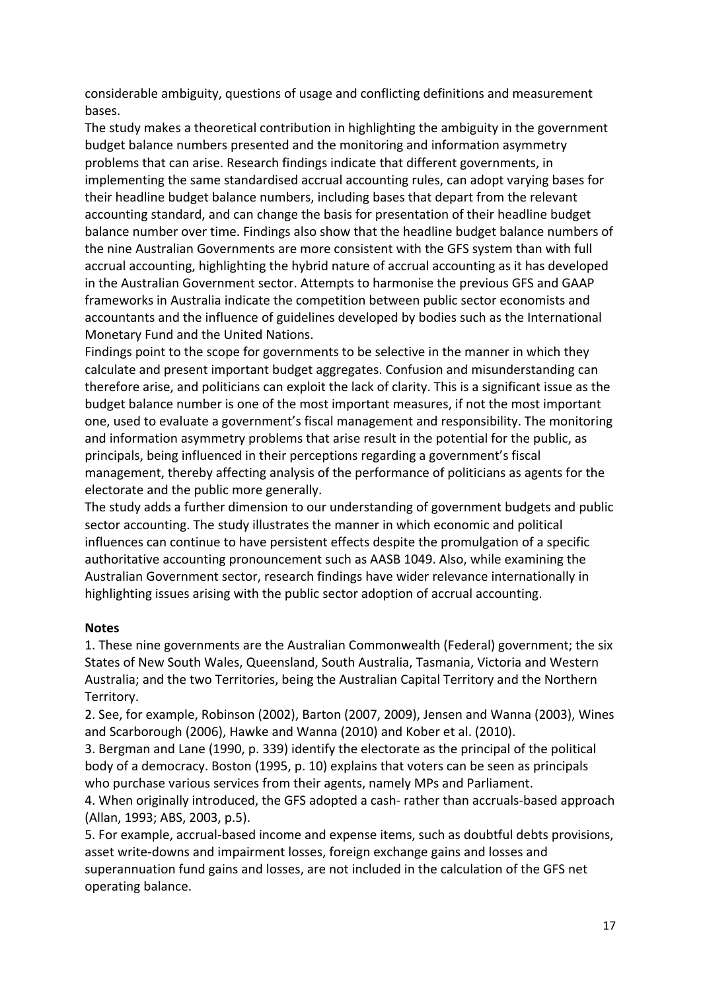considerable ambiguity, questions of usage and conflicting definitions and measurement bases.

The study makes a theoretical contribution in highlighting the ambiguity in the government budget balance numbers presented and the monitoring and information asymmetry problems that can arise. Research findings indicate that different governments, in implementing the same standardised accrual accounting rules, can adopt varying bases for their headline budget balance numbers, including bases that depart from the relevant accounting standard, and can change the basis for presentation of their headline budget balance number over time. Findings also show that the headline budget balance numbers of the nine Australian Governments are more consistent with the GFS system than with full accrual accounting, highlighting the hybrid nature of accrual accounting as it has developed in the Australian Government sector. Attempts to harmonise the previous GFS and GAAP frameworks in Australia indicate the competition between public sector economists and accountants and the influence of guidelines developed by bodies such as the International Monetary Fund and the United Nations.

Findings point to the scope for governments to be selective in the manner in which they calculate and present important budget aggregates. Confusion and misunderstanding can therefore arise, and politicians can exploit the lack of clarity. This is a significant issue as the budget balance number is one of the most important measures, if not the most important one, used to evaluate a government's fiscal management and responsibility. The monitoring and information asymmetry problems that arise result in the potential for the public, as principals, being influenced in their perceptions regarding a government's fiscal management, thereby affecting analysis of the performance of politicians as agents for the electorate and the public more generally.

The study adds a further dimension to our understanding of government budgets and public sector accounting. The study illustrates the manner in which economic and political influences can continue to have persistent effects despite the promulgation of a specific authoritative accounting pronouncement such as AASB 1049. Also, while examining the Australian Government sector, research findings have wider relevance internationally in highlighting issues arising with the public sector adoption of accrual accounting.

#### **Notes**

1. These nine governments are the Australian Commonwealth (Federal) government; the six States of New South Wales, Queensland, South Australia, Tasmania, Victoria and Western Australia; and the two Territories, being the Australian Capital Territory and the Northern Territory.

2. See, for example, Robinson (2002), Barton (2007, 2009), Jensen and Wanna (2003), Wines and Scarborough (2006), Hawke and Wanna (2010) and Kober et al. (2010).

3. Bergman and Lane (1990, p. 339) identify the electorate as the principal of the political body of a democracy. Boston (1995, p. 10) explains that voters can be seen as principals who purchase various services from their agents, namely MPs and Parliament.

4. When originally introduced, the GFS adopted a cash‐ rather than accruals‐based approach (Allan, 1993; ABS, 2003, p.5).

5. For example, accrual-based income and expense items, such as doubtful debts provisions, asset write‐downs and impairment losses, foreign exchange gains and losses and superannuation fund gains and losses, are not included in the calculation of the GFS net operating balance.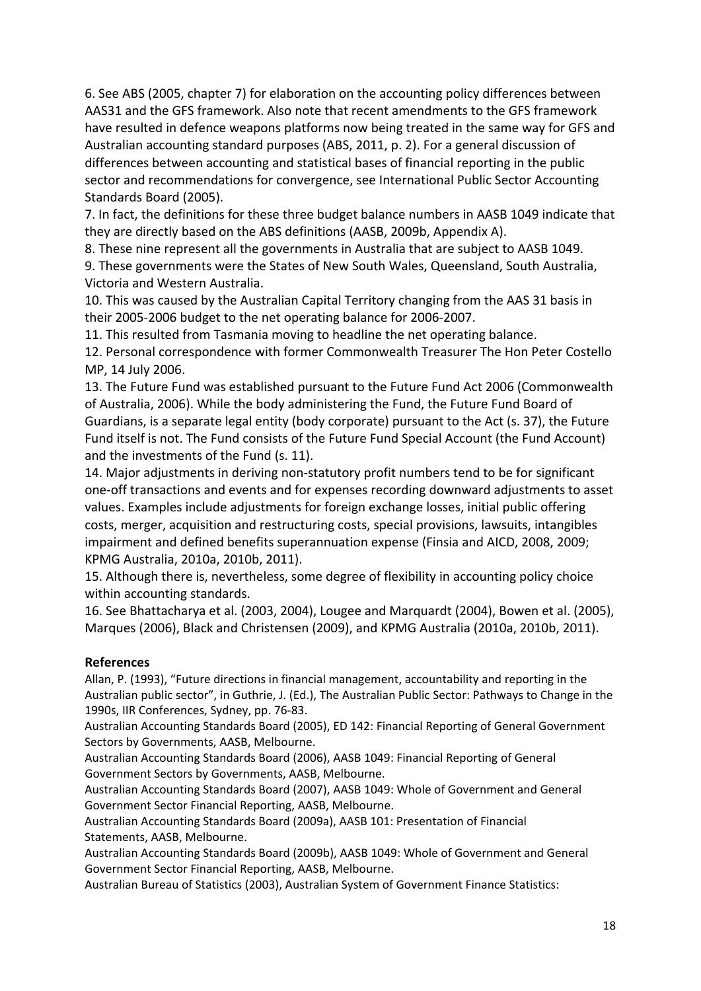6. See ABS (2005, chapter 7) for elaboration on the accounting policy differences between AAS31 and the GFS framework. Also note that recent amendments to the GFS framework have resulted in defence weapons platforms now being treated in the same way for GFS and Australian accounting standard purposes (ABS, 2011, p. 2). For a general discussion of differences between accounting and statistical bases of financial reporting in the public sector and recommendations for convergence, see International Public Sector Accounting Standards Board (2005).

7. In fact, the definitions for these three budget balance numbers in AASB 1049 indicate that they are directly based on the ABS definitions (AASB, 2009b, Appendix A).

8. These nine represent all the governments in Australia that are subject to AASB 1049.

9. These governments were the States of New South Wales, Queensland, South Australia, Victoria and Western Australia.

10. This was caused by the Australian Capital Territory changing from the AAS 31 basis in their 2005‐2006 budget to the net operating balance for 2006‐2007.

11. This resulted from Tasmania moving to headline the net operating balance.

12. Personal correspondence with former Commonwealth Treasurer The Hon Peter Costello MP, 14 July 2006.

13. The Future Fund was established pursuant to the Future Fund Act 2006 (Commonwealth of Australia, 2006). While the body administering the Fund, the Future Fund Board of Guardians, is a separate legal entity (body corporate) pursuant to the Act (s. 37), the Future Fund itself is not. The Fund consists of the Future Fund Special Account (the Fund Account) and the investments of the Fund (s. 11).

14. Major adjustments in deriving non-statutory profit numbers tend to be for significant one‐off transactions and events and for expenses recording downward adjustments to asset values. Examples include adjustments for foreign exchange losses, initial public offering costs, merger, acquisition and restructuring costs, special provisions, lawsuits, intangibles impairment and defined benefits superannuation expense (Finsia and AICD, 2008, 2009; KPMG Australia, 2010a, 2010b, 2011).

15. Although there is, nevertheless, some degree of flexibility in accounting policy choice within accounting standards.

16. See Bhattacharya et al. (2003, 2004), Lougee and Marquardt (2004), Bowen et al. (2005), Marques (2006), Black and Christensen (2009), and KPMG Australia (2010a, 2010b, 2011).

#### **References**

Allan, P. (1993), "Future directions in financial management, accountability and reporting in the Australian public sector", in Guthrie, J. (Ed.), The Australian Public Sector: Pathways to Change in the 1990s, IIR Conferences, Sydney, pp. 76‐83.

Australian Accounting Standards Board (2005), ED 142: Financial Reporting of General Government Sectors by Governments, AASB, Melbourne.

Australian Accounting Standards Board (2006), AASB 1049: Financial Reporting of General Government Sectors by Governments, AASB, Melbourne.

Australian Accounting Standards Board (2007), AASB 1049: Whole of Government and General Government Sector Financial Reporting, AASB, Melbourne.

Australian Accounting Standards Board (2009a), AASB 101: Presentation of Financial Statements, AASB, Melbourne.

Australian Accounting Standards Board (2009b), AASB 1049: Whole of Government and General Government Sector Financial Reporting, AASB, Melbourne.

Australian Bureau of Statistics (2003), Australian System of Government Finance Statistics: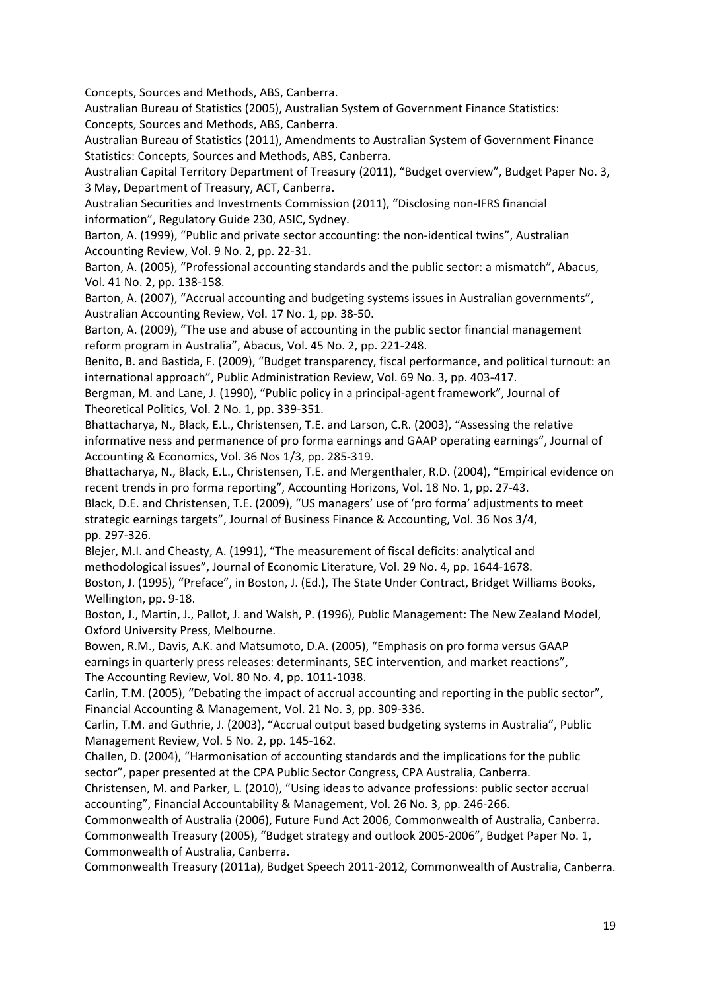Concepts, Sources and Methods, ABS, Canberra.

Australian Bureau of Statistics (2005), Australian System of Government Finance Statistics: Concepts, Sources and Methods, ABS, Canberra.

Australian Bureau of Statistics (2011), Amendments to Australian System of Government Finance Statistics: Concepts, Sources and Methods, ABS, Canberra.

Australian Capital Territory Department of Treasury (2011), "Budget overview", Budget Paper No. 3, 3 May, Department of Treasury, ACT, Canberra.

Australian Securities and Investments Commission (2011), "Disclosing non‐IFRS financial information", Regulatory Guide 230, ASIC, Sydney.

Barton, A. (1999), "Public and private sector accounting: the non-identical twins", Australian Accounting Review, Vol. 9 No. 2, pp. 22‐31.

Barton, A. (2005), "Professional accounting standards and the public sector: a mismatch", Abacus, Vol. 41 No. 2, pp. 138‐158.

Barton, A. (2007), "Accrual accounting and budgeting systems issues in Australian governments", Australian Accounting Review, Vol. 17 No. 1, pp. 38‐50.

Barton, A. (2009), "The use and abuse of accounting in the public sector financial management reform program in Australia", Abacus, Vol. 45 No. 2, pp. 221‐248.

Benito, B. and Bastida, F. (2009), "Budget transparency, fiscal performance, and political turnout: an international approach", Public Administration Review, Vol. 69 No. 3, pp. 403‐417.

Bergman, M. and Lane, J. (1990), "Public policy in a principal‐agent framework", Journal of Theoretical Politics, Vol. 2 No. 1, pp. 339‐351.

Bhattacharya, N., Black, E.L., Christensen, T.E. and Larson, C.R. (2003), "Assessing the relative informative ness and permanence of pro forma earnings and GAAP operating earnings", Journal of Accounting & Economics, Vol. 36 Nos 1/3, pp. 285‐319.

Bhattacharya, N., Black, E.L., Christensen, T.E. and Mergenthaler, R.D. (2004), "Empirical evidence on recent trends in pro forma reporting", Accounting Horizons, Vol. 18 No. 1, pp. 27‐43.

Black, D.E. and Christensen, T.E. (2009), "US managers' use of 'pro forma' adjustments to meet strategic earnings targets", Journal of Business Finance & Accounting, Vol. 36 Nos 3/4, pp. 297‐326.

Blejer, M.I. and Cheasty, A. (1991), "The measurement of fiscal deficits: analytical and methodological issues", Journal of Economic Literature, Vol. 29 No. 4, pp. 1644‐1678.

Boston, J. (1995), "Preface", in Boston, J. (Ed.), The State Under Contract, Bridget Williams Books, Wellington, pp. 9‐18.

Boston, J., Martin, J., Pallot, J. and Walsh, P. (1996), Public Management: The New Zealand Model, Oxford University Press, Melbourne.

Bowen, R.M., Davis, A.K. and Matsumoto, D.A. (2005), "Emphasis on pro forma versus GAAP earnings in quarterly press releases: determinants, SEC intervention, and market reactions", The Accounting Review, Vol. 80 No. 4, pp. 1011‐1038.

Carlin, T.M. (2005), "Debating the impact of accrual accounting and reporting in the public sector", Financial Accounting & Management, Vol. 21 No. 3, pp. 309‐336.

Carlin, T.M. and Guthrie, J. (2003), "Accrual output based budgeting systems in Australia", Public Management Review, Vol. 5 No. 2, pp. 145‐162.

Challen, D. (2004), "Harmonisation of accounting standards and the implications for the public sector", paper presented at the CPA Public Sector Congress, CPA Australia, Canberra.

Christensen, M. and Parker, L. (2010), "Using ideas to advance professions: public sector accrual accounting", Financial Accountability & Management, Vol. 26 No. 3, pp. 246‐266.

Commonwealth of Australia (2006), Future Fund Act 2006, Commonwealth of Australia, Canberra. Commonwealth Treasury (2005), "Budget strategy and outlook 2005‐2006", Budget Paper No. 1, Commonwealth of Australia, Canberra.

Commonwealth Treasury (2011a), Budget Speech 2011‐2012, Commonwealth of Australia, Canberra.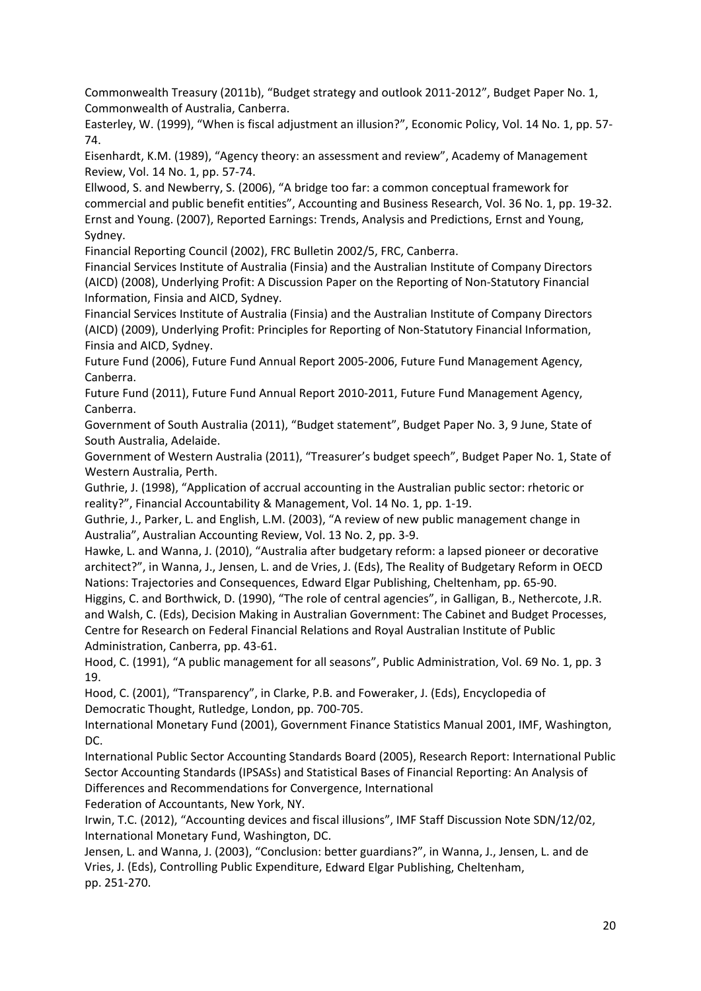Commonwealth Treasury (2011b), "Budget strategy and outlook 2011‐2012", Budget Paper No. 1, Commonwealth of Australia, Canberra.

Easterley, W. (1999), "When is fiscal adjustment an illusion?", Economic Policy, Vol. 14 No. 1, pp. 57‐ 74.

Eisenhardt, K.M. (1989), "Agency theory: an assessment and review", Academy of Management Review, Vol. 14 No. 1, pp. 57‐74.

Ellwood, S. and Newberry, S. (2006), "A bridge too far: a common conceptual framework for commercial and public benefit entities", Accounting and Business Research, Vol. 36 No. 1, pp. 19‐32. Ernst and Young. (2007), Reported Earnings: Trends, Analysis and Predictions, Ernst and Young, Sydney.

Financial Reporting Council (2002), FRC Bulletin 2002/5, FRC, Canberra.

Financial Services Institute of Australia (Finsia) and the Australian Institute of Company Directors (AICD) (2008), Underlying Profit: A Discussion Paper on the Reporting of Non‐Statutory Financial Information, Finsia and AICD, Sydney.

Financial Services Institute of Australia (Finsia) and the Australian Institute of Company Directors (AICD) (2009), Underlying Profit: Principles for Reporting of Non‐Statutory Financial Information, Finsia and AICD, Sydney.

Future Fund (2006), Future Fund Annual Report 2005‐2006, Future Fund Management Agency, Canberra.

Future Fund (2011), Future Fund Annual Report 2010‐2011, Future Fund Management Agency, Canberra.

Government of South Australia (2011), "Budget statement", Budget Paper No. 3, 9 June, State of South Australia, Adelaide.

Government of Western Australia (2011), "Treasurer's budget speech", Budget Paper No. 1, State of Western Australia, Perth.

Guthrie, J. (1998), "Application of accrual accounting in the Australian public sector: rhetoric or reality?", Financial Accountability & Management, Vol. 14 No. 1, pp. 1‐19.

Guthrie, J., Parker, L. and English, L.M. (2003), "A review of new public management change in Australia", Australian Accounting Review, Vol. 13 No. 2, pp. 3‐9.

Hawke, L. and Wanna, J. (2010), "Australia after budgetary reform: a lapsed pioneer or decorative architect?", in Wanna, J., Jensen, L. and de Vries, J. (Eds), The Reality of Budgetary Reform in OECD Nations: Trajectories and Consequences, Edward Elgar Publishing, Cheltenham, pp. 65‐90.

Higgins, C. and Borthwick, D. (1990), "The role of central agencies", in Galligan, B., Nethercote, J.R. and Walsh, C. (Eds), Decision Making in Australian Government: The Cabinet and Budget Processes, Centre for Research on Federal Financial Relations and Royal Australian Institute of Public Administration, Canberra, pp. 43‐61.

Hood, C. (1991), "A public management for all seasons", Public Administration, Vol. 69 No. 1, pp. 3 19.

Hood, C. (2001), "Transparency", in Clarke, P.B. and Foweraker, J. (Eds), Encyclopedia of Democratic Thought, Rutledge, London, pp. 700‐705.

International Monetary Fund (2001), Government Finance Statistics Manual 2001, IMF, Washington, DC.

International Public Sector Accounting Standards Board (2005), Research Report: International Public Sector Accounting Standards (IPSASs) and Statistical Bases of Financial Reporting: An Analysis of Differences and Recommendations for Convergence, International

Federation of Accountants, New York, NY.

Irwin, T.C. (2012), "Accounting devices and fiscal illusions", IMF Staff Discussion Note SDN/12/02, International Monetary Fund, Washington, DC.

Jensen, L. and Wanna, J. (2003), "Conclusion: better guardians?", in Wanna, J., Jensen, L. and de Vries, J. (Eds), Controlling Public Expenditure, Edward Elgar Publishing, Cheltenham, pp. 251‐270.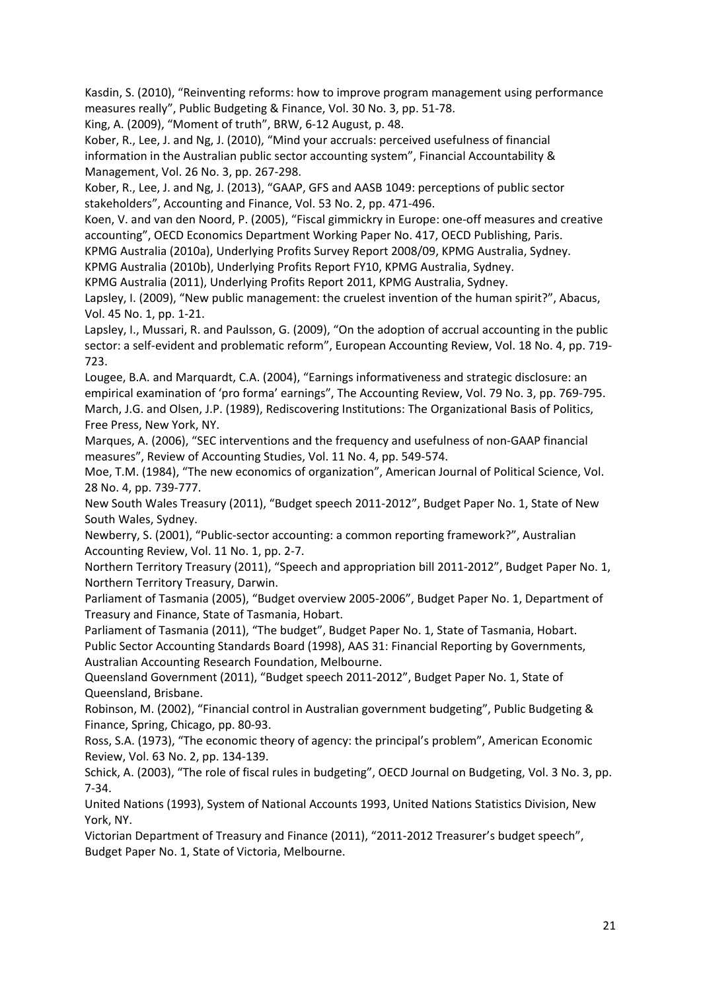Kasdin, S. (2010), "Reinventing reforms: how to improve program management using performance measures really", Public Budgeting & Finance, Vol. 30 No. 3, pp. 51‐78.

King, A. (2009), "Moment of truth", BRW, 6‐12 August, p. 48.

Kober, R., Lee, J. and Ng, J. (2010), "Mind your accruals: perceived usefulness of financial information in the Australian public sector accounting system", Financial Accountability & Management, Vol. 26 No. 3, pp. 267‐298.

Kober, R., Lee, J. and Ng, J. (2013), "GAAP, GFS and AASB 1049: perceptions of public sector stakeholders", Accounting and Finance, Vol. 53 No. 2, pp. 471‐496.

Koen, V. and van den Noord, P. (2005), "Fiscal gimmickry in Europe: one‐off measures and creative accounting", OECD Economics Department Working Paper No. 417, OECD Publishing, Paris.

KPMG Australia (2010a), Underlying Profits Survey Report 2008/09, KPMG Australia, Sydney.

KPMG Australia (2010b), Underlying Profits Report FY10, KPMG Australia, Sydney.

KPMG Australia (2011), Underlying Profits Report 2011, KPMG Australia, Sydney.

Lapsley, I. (2009), "New public management: the cruelest invention of the human spirit?", Abacus, Vol. 45 No. 1, pp. 1‐21.

Lapsley, I., Mussari, R. and Paulsson, G. (2009), "On the adoption of accrual accounting in the public sector: a self-evident and problematic reform", European Accounting Review, Vol. 18 No. 4, pp. 719-723.

Lougee, B.A. and Marquardt, C.A. (2004), "Earnings informativeness and strategic disclosure: an empirical examination of 'pro forma' earnings", The Accounting Review, Vol. 79 No. 3, pp. 769‐795. March, J.G. and Olsen, J.P. (1989), Rediscovering Institutions: The Organizational Basis of Politics, Free Press, New York, NY.

Marques, A. (2006), "SEC interventions and the frequency and usefulness of non‐GAAP financial measures", Review of Accounting Studies, Vol. 11 No. 4, pp. 549‐574.

Moe, T.M. (1984), "The new economics of organization", American Journal of Political Science, Vol. 28 No. 4, pp. 739‐777.

New South Wales Treasury (2011), "Budget speech 2011‐2012", Budget Paper No. 1, State of New South Wales, Sydney.

Newberry, S. (2001), "Public‐sector accounting: a common reporting framework?", Australian Accounting Review, Vol. 11 No. 1, pp. 2‐7.

Northern Territory Treasury (2011), "Speech and appropriation bill 2011‐2012", Budget Paper No. 1, Northern Territory Treasury, Darwin.

Parliament of Tasmania (2005), "Budget overview 2005‐2006", Budget Paper No. 1, Department of Treasury and Finance, State of Tasmania, Hobart.

Parliament of Tasmania (2011), "The budget", Budget Paper No. 1, State of Tasmania, Hobart. Public Sector Accounting Standards Board (1998), AAS 31: Financial Reporting by Governments, Australian Accounting Research Foundation, Melbourne.

Queensland Government (2011), "Budget speech 2011‐2012", Budget Paper No. 1, State of Queensland, Brisbane.

Robinson, M. (2002), "Financial control in Australian government budgeting", Public Budgeting & Finance, Spring, Chicago, pp. 80‐93.

Ross, S.A. (1973), "The economic theory of agency: the principal's problem", American Economic Review, Vol. 63 No. 2, pp. 134‐139.

Schick, A. (2003), "The role of fiscal rules in budgeting", OECD Journal on Budgeting, Vol. 3 No. 3, pp. 7‐34.

United Nations (1993), System of National Accounts 1993, United Nations Statistics Division, New York, NY.

Victorian Department of Treasury and Finance (2011), "2011‐2012 Treasurer's budget speech", Budget Paper No. 1, State of Victoria, Melbourne.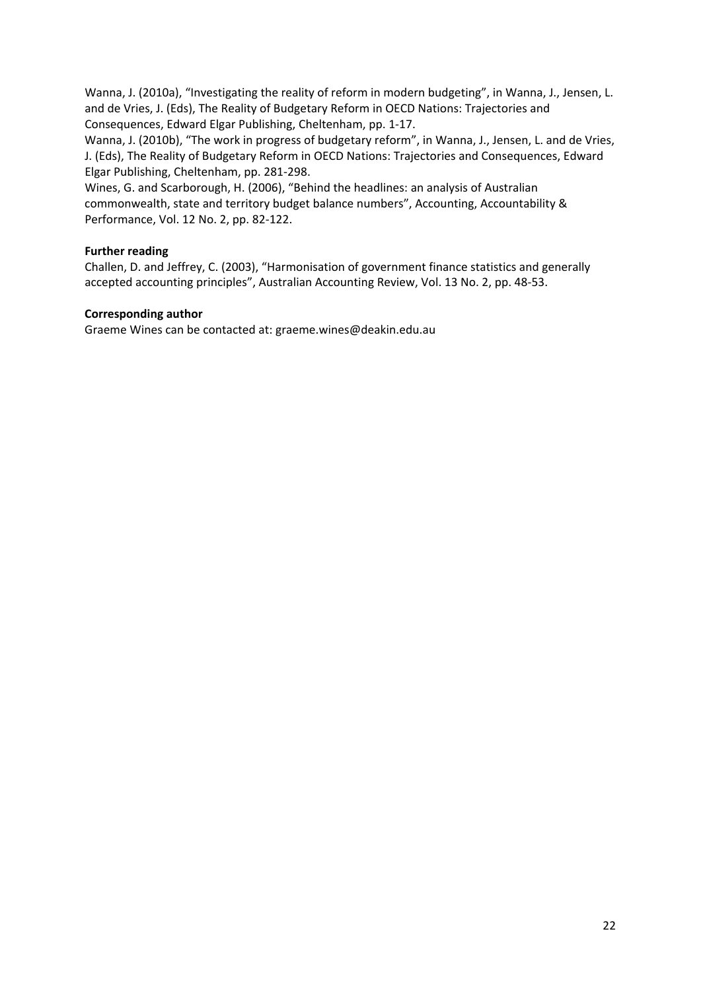Wanna, J. (2010a), "Investigating the reality of reform in modern budgeting", in Wanna, J., Jensen, L. and de Vries, J. (Eds), The Reality of Budgetary Reform in OECD Nations: Trajectories and Consequences, Edward Elgar Publishing, Cheltenham, pp. 1‐17.

Wanna, J. (2010b), "The work in progress of budgetary reform", in Wanna, J., Jensen, L. and de Vries, J. (Eds), The Reality of Budgetary Reform in OECD Nations: Trajectories and Consequences, Edward Elgar Publishing, Cheltenham, pp. 281‐298.

Wines, G. and Scarborough, H. (2006), "Behind the headlines: an analysis of Australian commonwealth, state and territory budget balance numbers", Accounting, Accountability & Performance, Vol. 12 No. 2, pp. 82‐122.

#### **Further reading**

Challen, D. and Jeffrey, C. (2003), "Harmonisation of government finance statistics and generally accepted accounting principles", Australian Accounting Review, Vol. 13 No. 2, pp. 48‐53.

#### **Corresponding author**

Graeme Wines can be contacted at: graeme.wines@deakin.edu.au